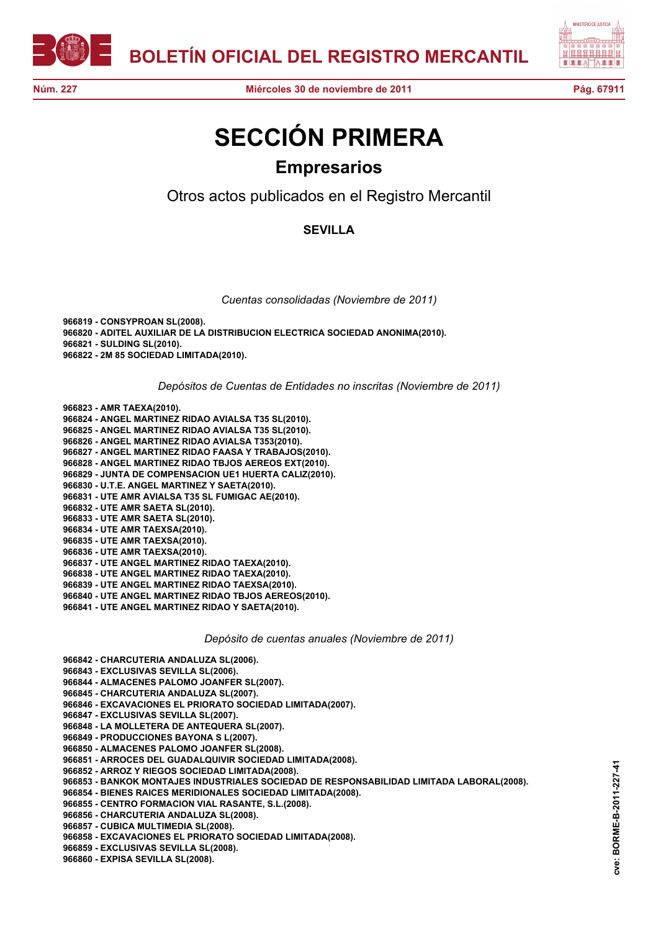



## **SECCIÓN PRIMERA Empresarios**

Otros actos publicados en el Registro Mercantil

## **SEVILLA**

*Cuentas consolidadas (Noviembre de 2011)*

**966819 - CONSYPROAN SL(2008). 966820 - ADITEL AUXILIAR DE LA DISTRIBUCION ELECTRICA SOCIEDAD ANONIMA(2010). 966821 - SULDING SL(2010). 966822 - 2M 85 SOCIEDAD LIMITADA(2010).**

*Depósitos de Cuentas de Entidades no inscritas (Noviembre de 2011)*

**966823 - AMR TAEXA(2010). 966824 - ANGEL MARTINEZ RIDAO AVIALSA T35 SL(2010). 966825 - ANGEL MARTINEZ RIDAO AVIALSA T35 SL(2010). 966826 - ANGEL MARTINEZ RIDAO AVIALSA T353(2010). 966827 - ANGEL MARTINEZ RIDAO FAASA Y TRABAJOS(2010). 966828 - ANGEL MARTINEZ RIDAO TBJOS AEREOS EXT(2010). 966829 - JUNTA DE COMPENSACION UE1 HUERTA CALIZ(2010). 966830 - U.T.E. ANGEL MARTINEZ Y SAETA(2010). 966831 - UTE AMR AVIALSA T35 SL FUMIGAC AE(2010). 966832 - UTE AMR SAETA SL(2010). 966833 - UTE AMR SAETA SL(2010). 966834 - UTE AMR TAEXSA(2010). 966835 - UTE AMR TAEXSA(2010). 966836 - UTE AMR TAEXSA(2010). 966837 - UTE ANGEL MARTINEZ RIDAO TAEXA(2010). 966838 - UTE ANGEL MARTINEZ RIDAO TAEXA(2010). 966839 - UTE ANGEL MARTINEZ RIDAO TAEXSA(2010). 966840 - UTE ANGEL MARTINEZ RIDAO TBJOS AEREOS(2010). 966841 - UTE ANGEL MARTINEZ RIDAO Y SAETA(2010).**

*Depósito de cuentas anuales (Noviembre de 2011)*

**966842 - CHARCUTERIA ANDALUZA SL(2006).**

**966843 - EXCLUSIVAS SEVILLA SL(2006).**

**966844 - ALMACENES PALOMO JOANFER SL(2007).**

**966845 - CHARCUTERIA ANDALUZA SL(2007).**

**966846 - EXCAVACIONES EL PRIORATO SOCIEDAD LIMITADA(2007).**

**966847 - EXCLUSIVAS SEVILLA SL(2007).**

**966848 - LA MOLLETERA DE ANTEQUERA SL(2007).**

**966849 - PRODUCCIONES BAYONA S L(2007).**

**966850 - ALMACENES PALOMO JOANFER SL(2008).**

**966851 - ARROCES DEL GUADALQUIVIR SOCIEDAD LIMITADA(2008).**

**966852 - ARROZ Y RIEGOS SOCIEDAD LIMITADA(2008).**

**966853 - BANKOK MONTAJES INDUSTRIALES SOCIEDAD DE RESPONSABILIDAD LIMITADA LABORAL(2008).**

**966854 - BIENES RAICES MERIDIONALES SOCIEDAD LIMITADA(2008).**

**966855 - CENTRO FORMACION VIAL RASANTE, S.L.(2008).**

**966856 - CHARCUTERIA ANDALUZA SL(2008).**

**966857 - CUBICA MULTIMEDIA SL(2008).**

**966858 - EXCAVACIONES EL PRIORATO SOCIEDAD LIMITADA(2008).**

**966859 - EXCLUSIVAS SEVILLA SL(2008).**

**966860 - EXPISA SEVILLA SL(2008).**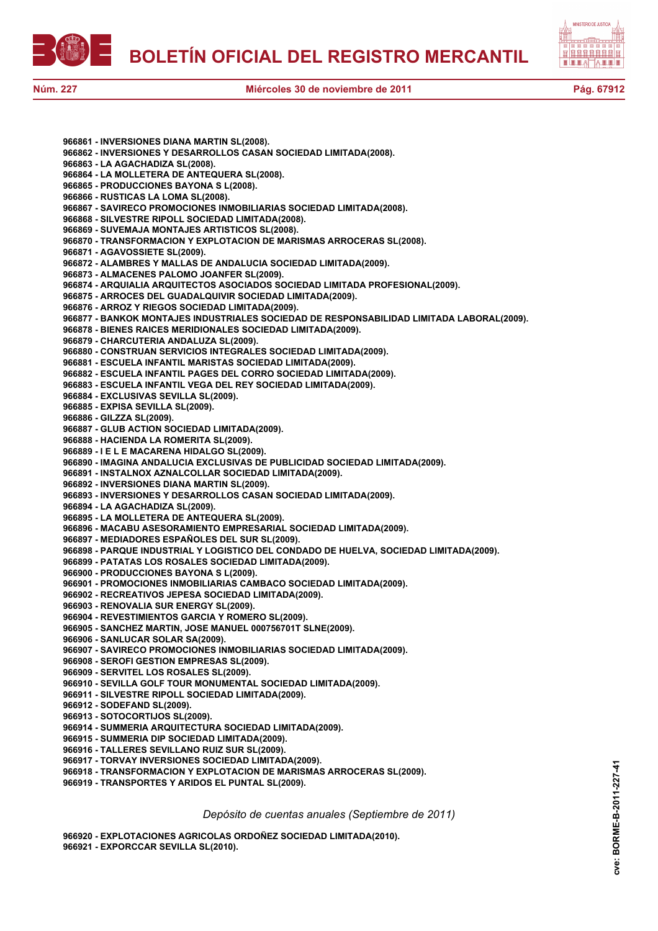



**966861 - INVERSIONES DIANA MARTIN SL(2008). 966862 - INVERSIONES Y DESARROLLOS CASAN SOCIEDAD LIMITADA(2008). 966863 - LA AGACHADIZA SL(2008). 966864 - LA MOLLETERA DE ANTEQUERA SL(2008). 966865 - PRODUCCIONES BAYONA S L(2008). 966866 - RUSTICAS LA LOMA SL(2008). 966867 - SAVIRECO PROMOCIONES INMOBILIARIAS SOCIEDAD LIMITADA(2008). 966868 - SILVESTRE RIPOLL SOCIEDAD LIMITADA(2008). 966869 - SUVEMAJA MONTAJES ARTISTICOS SL(2008). 966870 - TRANSFORMACION Y EXPLOTACION DE MARISMAS ARROCERAS SL(2008). 966871 - AGAVOSSIETE SL(2009). 966872 - ALAMBRES Y MALLAS DE ANDALUCIA SOCIEDAD LIMITADA(2009). 966873 - ALMACENES PALOMO JOANFER SL(2009). 966874 - ARQUIALIA ARQUITECTOS ASOCIADOS SOCIEDAD LIMITADA PROFESIONAL(2009). 966875 - ARROCES DEL GUADALQUIVIR SOCIEDAD LIMITADA(2009). 966876 - ARROZ Y RIEGOS SOCIEDAD LIMITADA(2009). 966877 - BANKOK MONTAJES INDUSTRIALES SOCIEDAD DE RESPONSABILIDAD LIMITADA LABORAL(2009). 966878 - BIENES RAICES MERIDIONALES SOCIEDAD LIMITADA(2009). 966879 - CHARCUTERIA ANDALUZA SL(2009). 966880 - CONSTRUAN SERVICIOS INTEGRALES SOCIEDAD LIMITADA(2009). 966881 - ESCUELA INFANTIL MARISTAS SOCIEDAD LIMITADA(2009). 966882 - ESCUELA INFANTIL PAGES DEL CORRO SOCIEDAD LIMITADA(2009). 966883 - ESCUELA INFANTIL VEGA DEL REY SOCIEDAD LIMITADA(2009). 966884 - EXCLUSIVAS SEVILLA SL(2009). 966885 - EXPISA SEVILLA SL(2009). 966886 - GILZZA SL(2009). 966887 - GLUB ACTION SOCIEDAD LIMITADA(2009). 966888 - HACIENDA LA ROMERITA SL(2009). 966889 - I E L E MACARENA HIDALGO SL(2009). 966890 - IMAGINA ANDALUCIA EXCLUSIVAS DE PUBLICIDAD SOCIEDAD LIMITADA(2009). 966891 - INSTALNOX AZNALCOLLAR SOCIEDAD LIMITADA(2009). 966892 - INVERSIONES DIANA MARTIN SL(2009). 966893 - INVERSIONES Y DESARROLLOS CASAN SOCIEDAD LIMITADA(2009). 966894 - LA AGACHADIZA SL(2009). 966895 - LA MOLLETERA DE ANTEQUERA SL(2009). 966896 - MACABU ASESORAMIENTO EMPRESARIAL SOCIEDAD LIMITADA(2009). 966897 - MEDIADORES ESPAÑOLES DEL SUR SL(2009). 966898 - PARQUE INDUSTRIAL Y LOGISTICO DEL CONDADO DE HUELVA, SOCIEDAD LIMITADA(2009). 966899 - PATATAS LOS ROSALES SOCIEDAD LIMITADA(2009). 966900 - PRODUCCIONES BAYONA S L(2009). 966901 - PROMOCIONES INMOBILIARIAS CAMBACO SOCIEDAD LIMITADA(2009). 966902 - RECREATIVOS JEPESA SOCIEDAD LIMITADA(2009). 966903 - RENOVALIA SUR ENERGY SL(2009). 966904 - REVESTIMIENTOS GARCIA Y ROMERO SL(2009). 966905 - SANCHEZ MARTIN, JOSE MANUEL 000756701T SLNE(2009). 966906 - SANLUCAR SOLAR SA(2009). 966907 - SAVIRECO PROMOCIONES INMOBILIARIAS SOCIEDAD LIMITADA(2009). 966908 - SEROFI GESTION EMPRESAS SL(2009). 966909 - SERVITEL LOS ROSALES SL(2009). 966910 - SEVILLA GOLF TOUR MONUMENTAL SOCIEDAD LIMITADA(2009). 966911 - SILVESTRE RIPOLL SOCIEDAD LIMITADA(2009). 966912 - SODEFAND SL(2009). 966913 - SOTOCORTIJOS SL(2009). 966914 - SUMMERIA ARQUITECTURA SOCIEDAD LIMITADA(2009). 966915 - SUMMERIA DIP SOCIEDAD LIMITADA(2009). 966916 - TALLERES SEVILLANO RUIZ SUR SL(2009). 966917 - TORVAY INVERSIONES SOCIEDAD LIMITADA(2009). 966918 - TRANSFORMACION Y EXPLOTACION DE MARISMAS ARROCERAS SL(2009). 966919 - TRANSPORTES Y ARIDOS EL PUNTAL SL(2009).**

*Depósito de cuentas anuales (Septiembre de 2011)*

**966920 - EXPLOTACIONES AGRICOLAS ORDOÑEZ SOCIEDAD LIMITADA(2010).**

**966921 - EXPORCCAR SEVILLA SL(2010).**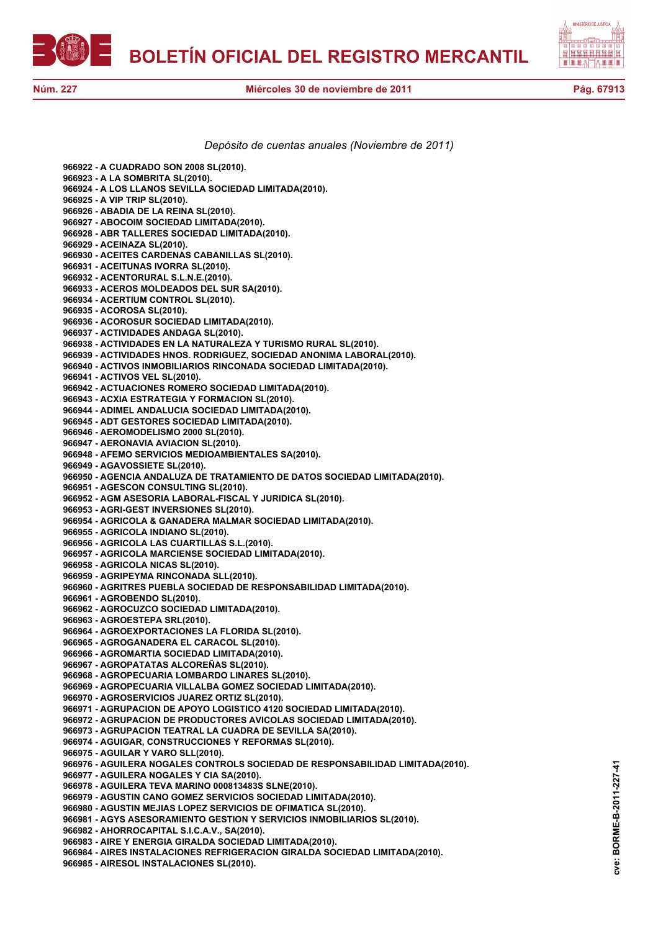



## *Depósito de cuentas anuales (Noviembre de 2011)*

**966922 - A CUADRADO SON 2008 SL(2010). 966923 - A LA SOMBRITA SL(2010). 966924 - A LOS LLANOS SEVILLA SOCIEDAD LIMITADA(2010). 966925 - A VIP TRIP SL(2010). 966926 - ABADIA DE LA REINA SL(2010). 966927 - ABOCOIM SOCIEDAD LIMITADA(2010). 966928 - ABR TALLERES SOCIEDAD LIMITADA(2010). 966929 - ACEINAZA SL(2010). 966930 - ACEITES CARDENAS CABANILLAS SL(2010). 966931 - ACEITUNAS IVORRA SL(2010). 966932 - ACENTORURAL S.L.N.E.(2010). 966933 - ACEROS MOLDEADOS DEL SUR SA(2010). 966934 - ACERTIUM CONTROL SL(2010). 966935 - ACOROSA SL(2010). 966936 - ACOROSUR SOCIEDAD LIMITADA(2010). 966937 - ACTIVIDADES ANDAGA SL(2010). 966938 - ACTIVIDADES EN LA NATURALEZA Y TURISMO RURAL SL(2010). 966939 - ACTIVIDADES HNOS. RODRIGUEZ, SOCIEDAD ANONIMA LABORAL(2010). 966940 - ACTIVOS INMOBILIARIOS RINCONADA SOCIEDAD LIMITADA(2010). 966941 - ACTIVOS VEL SL(2010). 966942 - ACTUACIONES ROMERO SOCIEDAD LIMITADA(2010). 966943 - ACXIA ESTRATEGIA Y FORMACION SL(2010). 966944 - ADIMEL ANDALUCIA SOCIEDAD LIMITADA(2010). 966945 - ADT GESTORES SOCIEDAD LIMITADA(2010). 966946 - AEROMODELISMO 2000 SL(2010). 966947 - AERONAVIA AVIACION SL(2010). 966948 - AFEMO SERVICIOS MEDIOAMBIENTALES SA(2010). 966949 - AGAVOSSIETE SL(2010). 966950 - AGENCIA ANDALUZA DE TRATAMIENTO DE DATOS SOCIEDAD LIMITADA(2010). 966951 - AGESCON CONSULTING SL(2010). 966952 - AGM ASESORIA LABORAL-FISCAL Y JURIDICA SL(2010). 966953 - AGRI-GEST INVERSIONES SL(2010). 966954 - AGRICOLA & GANADERA MALMAR SOCIEDAD LIMITADA(2010). 966955 - AGRICOLA INDIANO SL(2010). 966956 - AGRICOLA LAS CUARTILLAS S.L.(2010). 966957 - AGRICOLA MARCIENSE SOCIEDAD LIMITADA(2010). 966958 - AGRICOLA NICAS SL(2010). 966959 - AGRIPEYMA RINCONADA SLL(2010). 966960 - AGRITRES PUEBLA SOCIEDAD DE RESPONSABILIDAD LIMITADA(2010). 966961 - AGROBENDO SL(2010). 966962 - AGROCUZCO SOCIEDAD LIMITADA(2010). 966963 - AGROESTEPA SRL(2010). 966964 - AGROEXPORTACIONES LA FLORIDA SL(2010). 966965 - AGROGANADERA EL CARACOL SL(2010). 966966 - AGROMARTIA SOCIEDAD LIMITADA(2010). 966967 - AGROPATATAS ALCOREÑAS SL(2010). 966968 - AGROPECUARIA LOMBARDO LINARES SL(2010). 966969 - AGROPECUARIA VILLALBA GOMEZ SOCIEDAD LIMITADA(2010). 966970 - AGROSERVICIOS JUAREZ ORTIZ SL(2010). 966971 - AGRUPACION DE APOYO LOGISTICO 4120 SOCIEDAD LIMITADA(2010). 966972 - AGRUPACION DE PRODUCTORES AVICOLAS SOCIEDAD LIMITADA(2010). 966973 - AGRUPACION TEATRAL LA CUADRA DE SEVILLA SA(2010). 966974 - AGUIGAR, CONSTRUCCIONES Y REFORMAS SL(2010). 966975 - AGUILAR Y VARO SLL(2010). 966976 - AGUILERA NOGALES CONTROLS SOCIEDAD DE RESPONSABILIDAD LIMITADA(2010). 966977 - AGUILERA NOGALES Y CIA SA(2010). 966978 - AGUILERA TEVA MARINO 000813483S SLNE(2010). 966979 - AGUSTIN CANO GOMEZ SERVICIOS SOCIEDAD LIMITADA(2010). 966980 - AGUSTIN MEJIAS LOPEZ SERVICIOS DE OFIMATICA SL(2010). 966981 - AGYS ASESORAMIENTO GESTION Y SERVICIOS INMOBILIARIOS SL(2010). 966982 - AHORROCAPITAL S.I.C.A.V., SA(2010). 966983 - AIRE Y ENERGIA GIRALDA SOCIEDAD LIMITADA(2010). 966984 - AIRES INSTALACIONES REFRIGERACION GIRALDA SOCIEDAD LIMITADA(2010). 966985 - AIRESOL INSTALACIONES SL(2010).**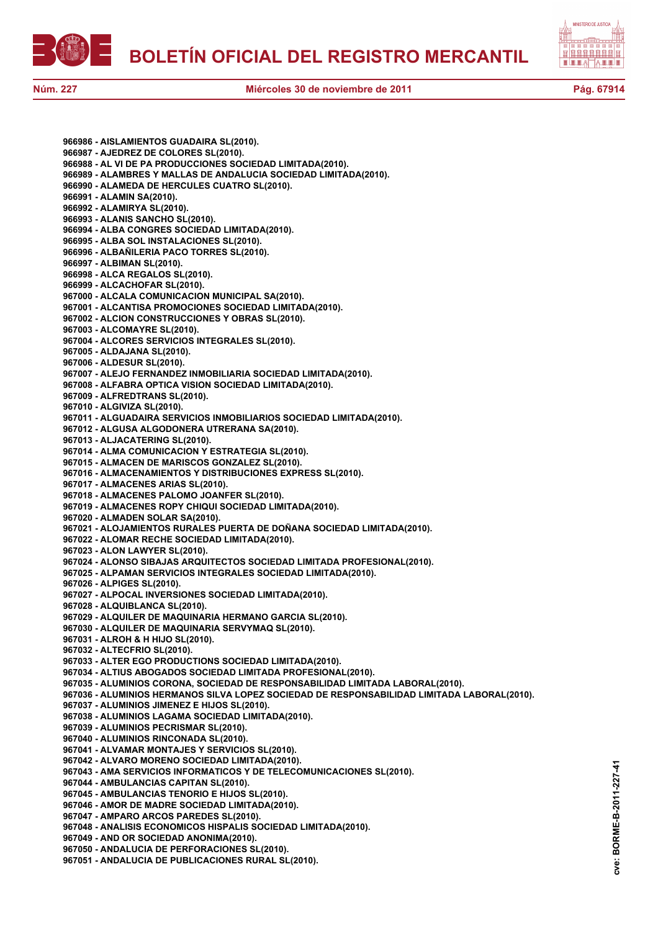



**966986 - AISLAMIENTOS GUADAIRA SL(2010). 966987 - AJEDREZ DE COLORES SL(2010). 966988 - AL VI DE PA PRODUCCIONES SOCIEDAD LIMITADA(2010). 966989 - ALAMBRES Y MALLAS DE ANDALUCIA SOCIEDAD LIMITADA(2010). 966990 - ALAMEDA DE HERCULES CUATRO SL(2010). 966991 - ALAMIN SA(2010). 966992 - ALAMIRYA SL(2010). 966993 - ALANIS SANCHO SL(2010). 966994 - ALBA CONGRES SOCIEDAD LIMITADA(2010). 966995 - ALBA SOL INSTALACIONES SL(2010). 966996 - ALBAÑILERIA PACO TORRES SL(2010). 966997 - ALBIMAN SL(2010). 966998 - ALCA REGALOS SL(2010). 966999 - ALCACHOFAR SL(2010). 967000 - ALCALA COMUNICACION MUNICIPAL SA(2010). 967001 - ALCANTISA PROMOCIONES SOCIEDAD LIMITADA(2010). 967002 - ALCION CONSTRUCCIONES Y OBRAS SL(2010). 967003 - ALCOMAYRE SL(2010). 967004 - ALCORES SERVICIOS INTEGRALES SL(2010). 967005 - ALDAJANA SL(2010). 967006 - ALDESUR SL(2010). 967007 - ALEJO FERNANDEZ INMOBILIARIA SOCIEDAD LIMITADA(2010). 967008 - ALFABRA OPTICA VISION SOCIEDAD LIMITADA(2010). 967009 - ALFREDTRANS SL(2010). 967010 - ALGIVIZA SL(2010). 967011 - ALGUADAIRA SERVICIOS INMOBILIARIOS SOCIEDAD LIMITADA(2010). 967012 - ALGUSA ALGODONERA UTRERANA SA(2010). 967013 - ALJACATERING SL(2010). 967014 - ALMA COMUNICACION Y ESTRATEGIA SL(2010). 967015 - ALMACEN DE MARISCOS GONZALEZ SL(2010). 967016 - ALMACENAMIENTOS Y DISTRIBUCIONES EXPRESS SL(2010). 967017 - ALMACENES ARIAS SL(2010). 967018 - ALMACENES PALOMO JOANFER SL(2010). 967019 - ALMACENES ROPY CHIQUI SOCIEDAD LIMITADA(2010). 967020 - ALMADEN SOLAR SA(2010). 967021 - ALOJAMIENTOS RURALES PUERTA DE DOÑANA SOCIEDAD LIMITADA(2010). 967022 - ALOMAR RECHE SOCIEDAD LIMITADA(2010). 967023 - ALON LAWYER SL(2010). 967024 - ALONSO SIBAJAS ARQUITECTOS SOCIEDAD LIMITADA PROFESIONAL(2010). 967025 - ALPAMAN SERVICIOS INTEGRALES SOCIEDAD LIMITADA(2010). 967026 - ALPIGES SL(2010). 967027 - ALPOCAL INVERSIONES SOCIEDAD LIMITADA(2010). 967028 - ALQUIBLANCA SL(2010). 967029 - ALQUILER DE MAQUINARIA HERMANO GARCIA SL(2010). 967030 - ALQUILER DE MAQUINARIA SERVYMAQ SL(2010). 967031 - ALROH & H HIJO SL(2010). 967032 - ALTECFRIO SL(2010). 967033 - ALTER EGO PRODUCTIONS SOCIEDAD LIMITADA(2010). 967034 - ALTIUS ABOGADOS SOCIEDAD LIMITADA PROFESIONAL(2010). 967035 - ALUMINIOS CORONA, SOCIEDAD DE RESPONSABILIDAD LIMITADA LABORAL(2010). 967036 - ALUMINIOS HERMANOS SILVA LOPEZ SOCIEDAD DE RESPONSABILIDAD LIMITADA LABORAL(2010). 967037 - ALUMINIOS JIMENEZ E HIJOS SL(2010). 967038 - ALUMINIOS LAGAMA SOCIEDAD LIMITADA(2010). 967039 - ALUMINIOS PECRISMAR SL(2010). 967040 - ALUMINIOS RINCONADA SL(2010). 967041 - ALVAMAR MONTAJES Y SERVICIOS SL(2010). 967042 - ALVARO MORENO SOCIEDAD LIMITADA(2010). 967043 - AMA SERVICIOS INFORMATICOS Y DE TELECOMUNICACIONES SL(2010). 967044 - AMBULANCIAS CAPITAN SL(2010). 967045 - AMBULANCIAS TENORIO E HIJOS SL(2010). 967046 - AMOR DE MADRE SOCIEDAD LIMITADA(2010). 967047 - AMPARO ARCOS PAREDES SL(2010). 967048 - ANALISIS ECONOMICOS HISPALIS SOCIEDAD LIMITADA(2010). 967049 - AND OR SOCIEDAD ANONIMA(2010). 967050 - ANDALUCIA DE PERFORACIONES SL(2010). 967051 - ANDALUCIA DE PUBLICACIONES RURAL SL(2010).**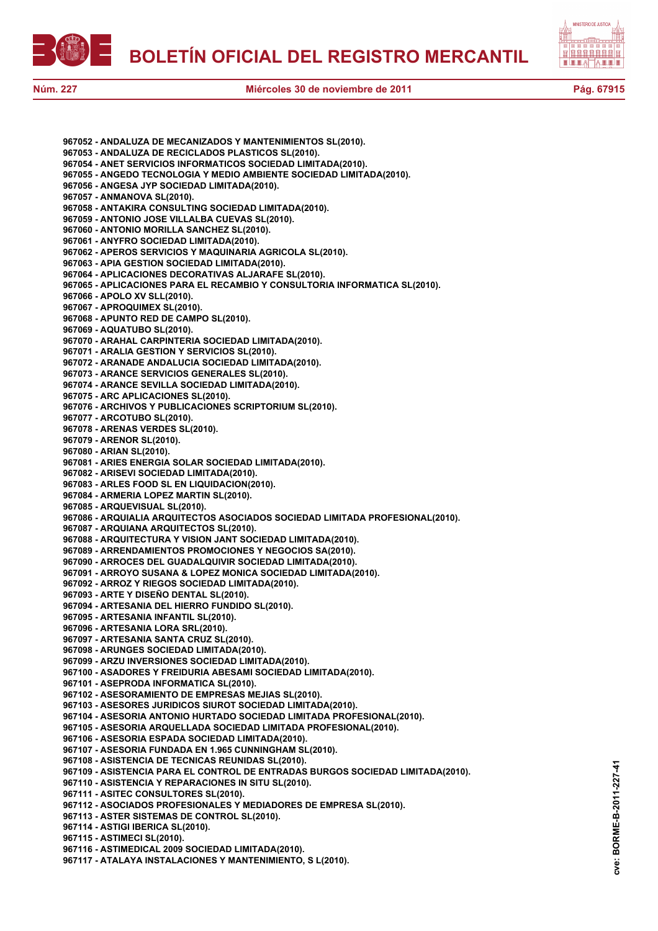



**cve: BORME-B-2011-227-41**

cve:

BORME-B-2011-227-41

**967052 - ANDALUZA DE MECANIZADOS Y MANTENIMIENTOS SL(2010). 967053 - ANDALUZA DE RECICLADOS PLASTICOS SL(2010). 967054 - ANET SERVICIOS INFORMATICOS SOCIEDAD LIMITADA(2010). 967055 - ANGEDO TECNOLOGIA Y MEDIO AMBIENTE SOCIEDAD LIMITADA(2010). 967056 - ANGESA JYP SOCIEDAD LIMITADA(2010). 967057 - ANMANOVA SL(2010). 967058 - ANTAKIRA CONSULTING SOCIEDAD LIMITADA(2010). 967059 - ANTONIO JOSE VILLALBA CUEVAS SL(2010). 967060 - ANTONIO MORILLA SANCHEZ SL(2010). 967061 - ANYFRO SOCIEDAD LIMITADA(2010). 967062 - APEROS SERVICIOS Y MAQUINARIA AGRICOLA SL(2010). 967063 - APIA GESTION SOCIEDAD LIMITADA(2010). 967064 - APLICACIONES DECORATIVAS ALJARAFE SL(2010). 967065 - APLICACIONES PARA EL RECAMBIO Y CONSULTORIA INFORMATICA SL(2010). 967066 - APOLO XV SLL(2010). 967067 - APROQUIMEX SL(2010). 967068 - APUNTO RED DE CAMPO SL(2010). 967069 - AQUATUBO SL(2010). 967070 - ARAHAL CARPINTERIA SOCIEDAD LIMITADA(2010). 967071 - ARALIA GESTION Y SERVICIOS SL(2010). 967072 - ARANADE ANDALUCIA SOCIEDAD LIMITADA(2010). 967073 - ARANCE SERVICIOS GENERALES SL(2010). 967074 - ARANCE SEVILLA SOCIEDAD LIMITADA(2010). 967075 - ARC APLICACIONES SL(2010). 967076 - ARCHIVOS Y PUBLICACIONES SCRIPTORIUM SL(2010). 967077 - ARCOTUBO SL(2010). 967078 - ARENAS VERDES SL(2010). 967079 - ARENOR SL(2010). 967080 - ARIAN SL(2010). 967081 - ARIES ENERGIA SOLAR SOCIEDAD LIMITADA(2010). 967082 - ARISEVI SOCIEDAD LIMITADA(2010). 967083 - ARLES FOOD SL EN LIQUIDACION(2010). 967084 - ARMERIA LOPEZ MARTIN SL(2010). 967085 - ARQUEVISUAL SL(2010). 967086 - ARQUIALIA ARQUITECTOS ASOCIADOS SOCIEDAD LIMITADA PROFESIONAL(2010). 967087 - ARQUIANA ARQUITECTOS SL(2010). 967088 - ARQUITECTURA Y VISION JANT SOCIEDAD LIMITADA(2010). 967089 - ARRENDAMIENTOS PROMOCIONES Y NEGOCIOS SA(2010). 967090 - ARROCES DEL GUADALQUIVIR SOCIEDAD LIMITADA(2010). 967091 - ARROYO SUSANA & LOPEZ MONICA SOCIEDAD LIMITADA(2010). 967092 - ARROZ Y RIEGOS SOCIEDAD LIMITADA(2010). 967093 - ARTE Y DISEÑO DENTAL SL(2010). 967094 - ARTESANIA DEL HIERRO FUNDIDO SL(2010). 967095 - ARTESANIA INFANTIL SL(2010). 967096 - ARTESANIA LORA SRL(2010). 967097 - ARTESANIA SANTA CRUZ SL(2010). 967098 - ARUNGES SOCIEDAD LIMITADA(2010). 967099 - ARZU INVERSIONES SOCIEDAD LIMITADA(2010). 967100 - ASADORES Y FREIDURIA ABESAMI SOCIEDAD LIMITADA(2010). 967101 - ASEPRODA INFORMATICA SL(2010). 967102 - ASESORAMIENTO DE EMPRESAS MEJIAS SL(2010). 967103 - ASESORES JURIDICOS SIUROT SOCIEDAD LIMITADA(2010). 967104 - ASESORIA ANTONIO HURTADO SOCIEDAD LIMITADA PROFESIONAL(2010). 967105 - ASESORIA ARQUELLADA SOCIEDAD LIMITADA PROFESIONAL(2010). 967106 - ASESORIA ESPADA SOCIEDAD LIMITADA(2010). 967107 - ASESORIA FUNDADA EN 1.965 CUNNINGHAM SL(2010). 967108 - ASISTENCIA DE TECNICAS REUNIDAS SL(2010). 967109 - ASISTENCIA PARA EL CONTROL DE ENTRADAS BURGOS SOCIEDAD LIMITADA(2010). 967110 - ASISTENCIA Y REPARACIONES IN SITU SL(2010). 967111 - ASITEC CONSULTORES SL(2010). 967112 - ASOCIADOS PROFESIONALES Y MEDIADORES DE EMPRESA SL(2010). 967113 - ASTER SISTEMAS DE CONTROL SL(2010). 967114 - ASTIGI IBERICA SL(2010). 967115 - ASTIMECI SL(2010). 967116 - ASTIMEDICAL 2009 SOCIEDAD LIMITADA(2010). 967117 - ATALAYA INSTALACIONES Y MANTENIMIENTO, S L(2010).**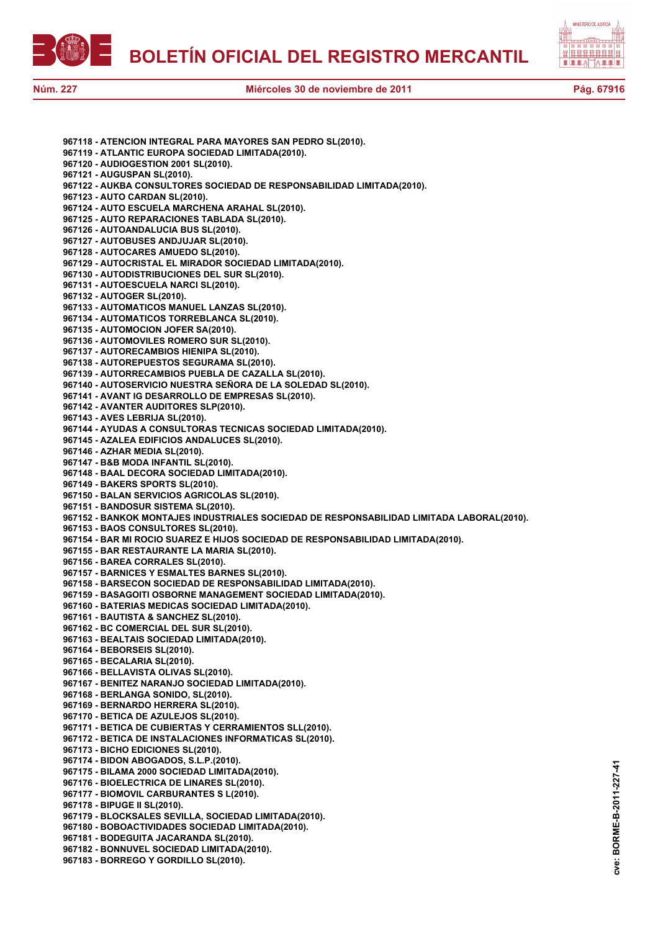



**967118 - ATENCION INTEGRAL PARA MAYORES SAN PEDRO SL(2010). 967119 - ATLANTIC EUROPA SOCIEDAD LIMITADA(2010). 967120 - AUDIOGESTION 2001 SL(2010). 967121 - AUGUSPAN SL(2010). 967122 - AUKBA CONSULTORES SOCIEDAD DE RESPONSABILIDAD LIMITADA(2010). 967123 - AUTO CARDAN SL(2010). 967124 - AUTO ESCUELA MARCHENA ARAHAL SL(2010). 967125 - AUTO REPARACIONES TABLADA SL(2010). 967126 - AUTOANDALUCIA BUS SL(2010). 967127 - AUTOBUSES ANDJUJAR SL(2010). 967128 - AUTOCARES AMUEDO SL(2010). 967129 - AUTOCRISTAL EL MIRADOR SOCIEDAD LIMITADA(2010). 967130 - AUTODISTRIBUCIONES DEL SUR SL(2010). 967131 - AUTOESCUELA NARCI SL(2010). 967132 - AUTOGER SL(2010). 967133 - AUTOMATICOS MANUEL LANZAS SL(2010). 967134 - AUTOMATICOS TORREBLANCA SL(2010). 967135 - AUTOMOCION JOFER SA(2010). 967136 - AUTOMOVILES ROMERO SUR SL(2010). 967137 - AUTORECAMBIOS HIENIPA SL(2010). 967138 - AUTOREPUESTOS SEGURAMA SL(2010). 967139 - AUTORRECAMBIOS PUEBLA DE CAZALLA SL(2010). 967140 - AUTOSERVICIO NUESTRA SEÑORA DE LA SOLEDAD SL(2010). 967141 - AVANT IG DESARROLLO DE EMPRESAS SL(2010). 967142 - AVANTER AUDITORES SLP(2010). 967143 - AVES LEBRIJA SL(2010). 967144 - AYUDAS A CONSULTORAS TECNICAS SOCIEDAD LIMITADA(2010). 967145 - AZALEA EDIFICIOS ANDALUCES SL(2010). 967146 - AZHAR MEDIA SL(2010). 967147 - B&B MODA INFANTIL SL(2010). 967148 - BAAL DECORA SOCIEDAD LIMITADA(2010). 967149 - BAKERS SPORTS SL(2010). 967150 - BALAN SERVICIOS AGRICOLAS SL(2010). 967151 - BANDOSUR SISTEMA SL(2010). 967152 - BANKOK MONTAJES INDUSTRIALES SOCIEDAD DE RESPONSABILIDAD LIMITADA LABORAL(2010). 967153 - BAOS CONSULTORES SL(2010). 967154 - BAR MI ROCIO SUAREZ E HIJOS SOCIEDAD DE RESPONSABILIDAD LIMITADA(2010). 967155 - BAR RESTAURANTE LA MARIA SL(2010). 967156 - BAREA CORRALES SL(2010). 967157 - BARNICES Y ESMALTES BARNES SL(2010). 967158 - BARSECON SOCIEDAD DE RESPONSABILIDAD LIMITADA(2010). 967159 - BASAGOITI OSBORNE MANAGEMENT SOCIEDAD LIMITADA(2010). 967160 - BATERIAS MEDICAS SOCIEDAD LIMITADA(2010). 967161 - BAUTISTA & SANCHEZ SL(2010). 967162 - BC COMERCIAL DEL SUR SL(2010). 967163 - BEALTAIS SOCIEDAD LIMITADA(2010). 967164 - BEBORSEIS SL(2010). 967165 - BECALARIA SL(2010). 967166 - BELLAVISTA OLIVAS SL(2010). 967167 - BENITEZ NARANJO SOCIEDAD LIMITADA(2010). 967168 - BERLANGA SONIDO, SL(2010). 967169 - BERNARDO HERRERA SL(2010). 967170 - BETICA DE AZULEJOS SL(2010). 967171 - BETICA DE CUBIERTAS Y CERRAMIENTOS SLL(2010). 967172 - BETICA DE INSTALACIONES INFORMATICAS SL(2010). 967173 - BICHO EDICIONES SL(2010). 967174 - BIDON ABOGADOS, S.L.P.(2010). 967175 - BILAMA 2000 SOCIEDAD LIMITADA(2010). 967176 - BIOELECTRICA DE LINARES SL(2010). 967177 - BIOMOVIL CARBURANTES S L(2010). 967178 - BIPUGE II SL(2010). 967179 - BLOCKSALES SEVILLA, SOCIEDAD LIMITADA(2010). 967180 - BOBOACTIVIDADES SOCIEDAD LIMITADA(2010). 967181 - BODEGUITA JACARANDA SL(2010). 967182 - BONNUVEL SOCIEDAD LIMITADA(2010). 967183 - BORREGO Y GORDILLO SL(2010).**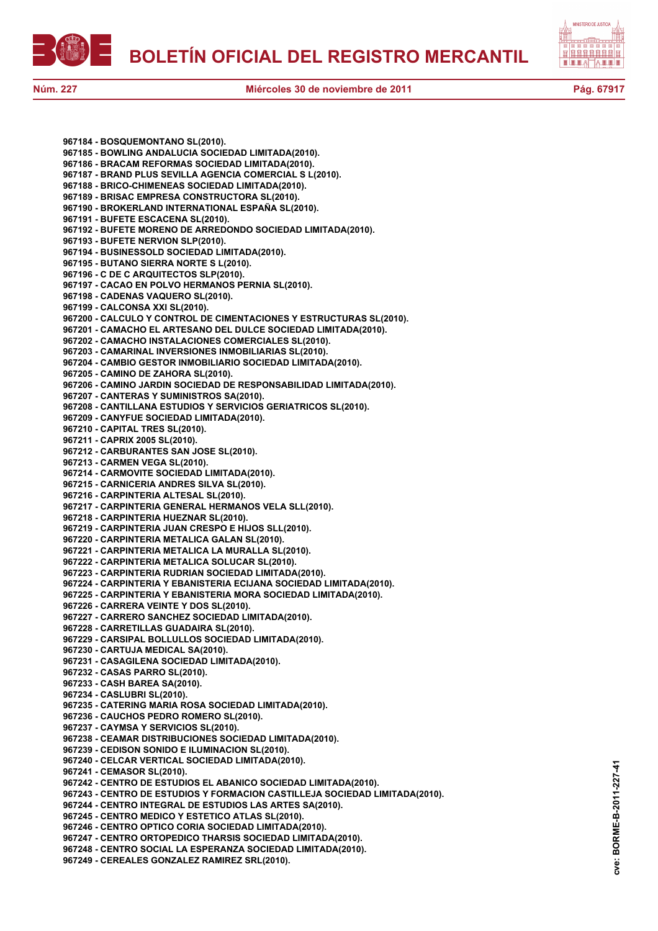



**967184 - BOSQUEMONTANO SL(2010). 967185 - BOWLING ANDALUCIA SOCIEDAD LIMITADA(2010). 967186 - BRACAM REFORMAS SOCIEDAD LIMITADA(2010). 967187 - BRAND PLUS SEVILLA AGENCIA COMERCIAL S L(2010). 967188 - BRICO-CHIMENEAS SOCIEDAD LIMITADA(2010). 967189 - BRISAC EMPRESA CONSTRUCTORA SL(2010). 967190 - BROKERLAND INTERNATIONAL ESPAÑA SL(2010). 967191 - BUFETE ESCACENA SL(2010). 967192 - BUFETE MORENO DE ARREDONDO SOCIEDAD LIMITADA(2010). 967193 - BUFETE NERVION SLP(2010). 967194 - BUSINESSOLD SOCIEDAD LIMITADA(2010). 967195 - BUTANO SIERRA NORTE S L(2010). 967196 - C DE C ARQUITECTOS SLP(2010). 967197 - CACAO EN POLVO HERMANOS PERNIA SL(2010). 967198 - CADENAS VAQUERO SL(2010). 967199 - CALCONSA XXI SL(2010). 967200 - CALCULO Y CONTROL DE CIMENTACIONES Y ESTRUCTURAS SL(2010). 967201 - CAMACHO EL ARTESANO DEL DULCE SOCIEDAD LIMITADA(2010). 967202 - CAMACHO INSTALACIONES COMERCIALES SL(2010). 967203 - CAMARINAL INVERSIONES INMOBILIARIAS SL(2010). 967204 - CAMBIO GESTOR INMOBILIARIO SOCIEDAD LIMITADA(2010). 967205 - CAMINO DE ZAHORA SL(2010). 967206 - CAMINO JARDIN SOCIEDAD DE RESPONSABILIDAD LIMITADA(2010). 967207 - CANTERAS Y SUMINISTROS SA(2010). 967208 - CANTILLANA ESTUDIOS Y SERVICIOS GERIATRICOS SL(2010). 967209 - CANYFUE SOCIEDAD LIMITADA(2010). 967210 - CAPITAL TRES SL(2010). 967211 - CAPRIX 2005 SL(2010). 967212 - CARBURANTES SAN JOSE SL(2010). 967213 - CARMEN VEGA SL(2010). 967214 - CARMOVITE SOCIEDAD LIMITADA(2010). 967215 - CARNICERIA ANDRES SILVA SL(2010). 967216 - CARPINTERIA ALTESAL SL(2010). 967217 - CARPINTERIA GENERAL HERMANOS VELA SLL(2010). 967218 - CARPINTERIA HUEZNAR SL(2010). 967219 - CARPINTERIA JUAN CRESPO E HIJOS SLL(2010). 967220 - CARPINTERIA METALICA GALAN SL(2010). 967221 - CARPINTERIA METALICA LA MURALLA SL(2010). 967222 - CARPINTERIA METALICA SOLUCAR SL(2010). 967223 - CARPINTERIA RUDRIAN SOCIEDAD LIMITADA(2010). 967224 - CARPINTERIA Y EBANISTERIA ECIJANA SOCIEDAD LIMITADA(2010). 967225 - CARPINTERIA Y EBANISTERIA MORA SOCIEDAD LIMITADA(2010). 967226 - CARRERA VEINTE Y DOS SL(2010). 967227 - CARRERO SANCHEZ SOCIEDAD LIMITADA(2010). 967228 - CARRETILLAS GUADAIRA SL(2010). 967229 - CARSIPAL BOLLULLOS SOCIEDAD LIMITADA(2010). 967230 - CARTUJA MEDICAL SA(2010). 967231 - CASAGILENA SOCIEDAD LIMITADA(2010). 967232 - CASAS PARRO SL(2010). 967233 - CASH BAREA SA(2010). 967234 - CASLUBRI SL(2010). 967235 - CATERING MARIA ROSA SOCIEDAD LIMITADA(2010). 967236 - CAUCHOS PEDRO ROMERO SL(2010). 967237 - CAYMSA Y SERVICIOS SL(2010). 967238 - CEAMAR DISTRIBUCIONES SOCIEDAD LIMITADA(2010). 967239 - CEDISON SONIDO E ILUMINACION SL(2010). 967240 - CELCAR VERTICAL SOCIEDAD LIMITADA(2010). 967241 - CEMASOR SL(2010). 967242 - CENTRO DE ESTUDIOS EL ABANICO SOCIEDAD LIMITADA(2010). 967243 - CENTRO DE ESTUDIOS Y FORMACION CASTILLEJA SOCIEDAD LIMITADA(2010). 967244 - CENTRO INTEGRAL DE ESTUDIOS LAS ARTES SA(2010). 967245 - CENTRO MEDICO Y ESTETICO ATLAS SL(2010). 967246 - CENTRO OPTICO CORIA SOCIEDAD LIMITADA(2010). 967247 - CENTRO ORTOPEDICO THARSIS SOCIEDAD LIMITADA(2010). 967248 - CENTRO SOCIAL LA ESPERANZA SOCIEDAD LIMITADA(2010). 967249 - CEREALES GONZALEZ RAMIREZ SRL(2010).**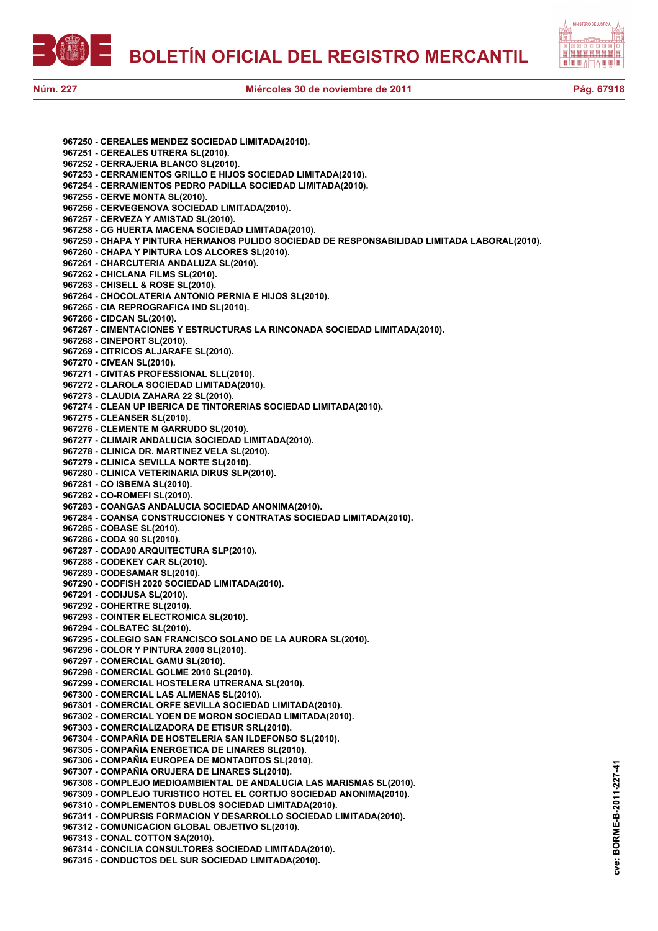



**967250 - CEREALES MENDEZ SOCIEDAD LIMITADA(2010). 967251 - CEREALES UTRERA SL(2010). 967252 - CERRAJERIA BLANCO SL(2010). 967253 - CERRAMIENTOS GRILLO E HIJOS SOCIEDAD LIMITADA(2010). 967254 - CERRAMIENTOS PEDRO PADILLA SOCIEDAD LIMITADA(2010). 967255 - CERVE MONTA SL(2010). 967256 - CERVEGENOVA SOCIEDAD LIMITADA(2010). 967257 - CERVEZA Y AMISTAD SL(2010). 967258 - CG HUERTA MACENA SOCIEDAD LIMITADA(2010). 967259 - CHAPA Y PINTURA HERMANOS PULIDO SOCIEDAD DE RESPONSABILIDAD LIMITADA LABORAL(2010). 967260 - CHAPA Y PINTURA LOS ALCORES SL(2010). 967261 - CHARCUTERIA ANDALUZA SL(2010). 967262 - CHICLANA FILMS SL(2010). 967263 - CHISELL & ROSE SL(2010). 967264 - CHOCOLATERIA ANTONIO PERNIA E HIJOS SL(2010). 967265 - CIA REPROGRAFICA IND SL(2010). 967266 - CIDCAN SL(2010). 967267 - CIMENTACIONES Y ESTRUCTURAS LA RINCONADA SOCIEDAD LIMITADA(2010). 967268 - CINEPORT SL(2010). 967269 - CITRICOS ALJARAFE SL(2010). 967270 - CIVEAN SL(2010). 967271 - CIVITAS PROFESSIONAL SLL(2010). 967272 - CLAROLA SOCIEDAD LIMITADA(2010). 967273 - CLAUDIA ZAHARA 22 SL(2010). 967274 - CLEAN UP IBERICA DE TINTORERIAS SOCIEDAD LIMITADA(2010). 967275 - CLEANSER SL(2010). 967276 - CLEMENTE M GARRUDO SL(2010). 967277 - CLIMAIR ANDALUCIA SOCIEDAD LIMITADA(2010). 967278 - CLINICA DR. MARTINEZ VELA SL(2010). 967279 - CLINICA SEVILLA NORTE SL(2010). 967280 - CLINICA VETERINARIA DIRUS SLP(2010). 967281 - CO ISBEMA SL(2010). 967282 - CO-ROMEFI SL(2010). 967283 - COANGAS ANDALUCIA SOCIEDAD ANONIMA(2010). 967284 - COANSA CONSTRUCCIONES Y CONTRATAS SOCIEDAD LIMITADA(2010). 967285 - COBASE SL(2010). 967286 - CODA 90 SL(2010). 967287 - CODA90 ARQUITECTURA SLP(2010). 967288 - CODEKEY CAR SL(2010). 967289 - CODESAMAR SL(2010). 967290 - CODFISH 2020 SOCIEDAD LIMITADA(2010). 967291 - CODIJUSA SL(2010). 967292 - COHERTRE SL(2010). 967293 - COINTER ELECTRONICA SL(2010). 967294 - COLBATEC SL(2010). 967295 - COLEGIO SAN FRANCISCO SOLANO DE LA AURORA SL(2010). 967296 - COLOR Y PINTURA 2000 SL(2010). 967297 - COMERCIAL GAMU SL(2010). 967298 - COMERCIAL GOLME 2010 SL(2010). 967299 - COMERCIAL HOSTELERA UTRERANA SL(2010). 967300 - COMERCIAL LAS ALMENAS SL(2010). 967301 - COMERCIAL ORFE SEVILLA SOCIEDAD LIMITADA(2010). 967302 - COMERCIAL YOEN DE MORON SOCIEDAD LIMITADA(2010). 967303 - COMERCIALIZADORA DE ETISUR SRL(2010). 967304 - COMPAÑIA DE HOSTELERIA SAN ILDEFONSO SL(2010). 967305 - COMPAÑIA ENERGETICA DE LINARES SL(2010). 967306 - COMPAÑIA EUROPEA DE MONTADITOS SL(2010). 967307 - COMPAÑIA ORUJERA DE LINARES SL(2010). 967308 - COMPLEJO MEDIOAMBIENTAL DE ANDALUCIA LAS MARISMAS SL(2010). 967309 - COMPLEJO TURISTICO HOTEL EL CORTIJO SOCIEDAD ANONIMA(2010). 967310 - COMPLEMENTOS DUBLOS SOCIEDAD LIMITADA(2010). 967311 - COMPURSIS FORMACION Y DESARROLLO SOCIEDAD LIMITADA(2010). 967312 - COMUNICACION GLOBAL OBJETIVO SL(2010). 967313 - CONAL COTTON SA(2010). 967314 - CONCILIA CONSULTORES SOCIEDAD LIMITADA(2010). 967315 - CONDUCTOS DEL SUR SOCIEDAD LIMITADA(2010).**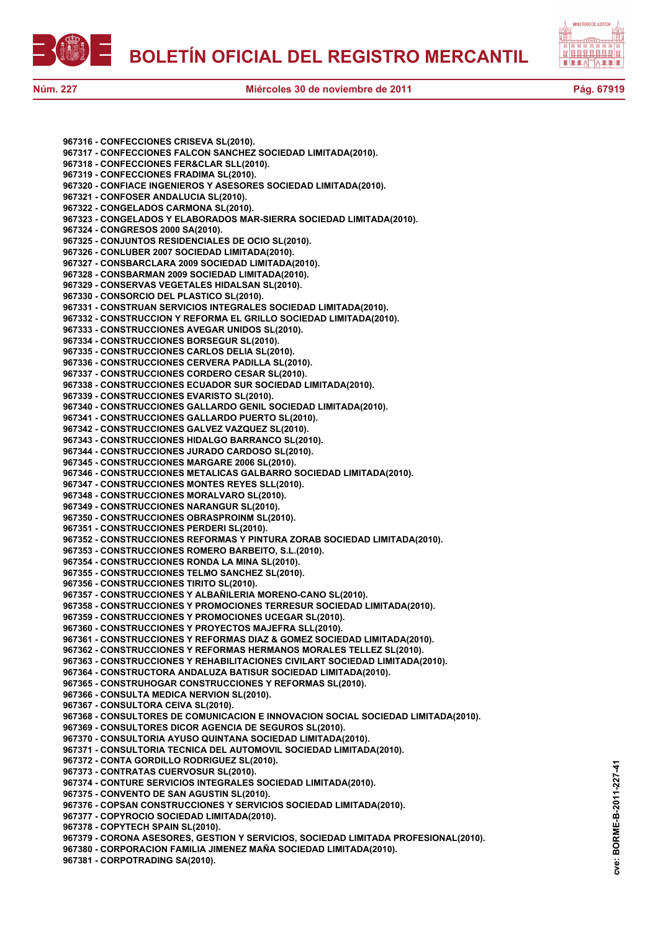



**967316 - CONFECCIONES CRISEVA SL(2010). 967317 - CONFECCIONES FALCON SANCHEZ SOCIEDAD LIMITADA(2010). 967318 - CONFECCIONES FER&CLAR SLL(2010). 967319 - CONFECCIONES FRADIMA SL(2010). 967320 - CONFIACE INGENIEROS Y ASESORES SOCIEDAD LIMITADA(2010). 967321 - CONFOSER ANDALUCIA SL(2010). 967322 - CONGELADOS CARMONA SL(2010). 967323 - CONGELADOS Y ELABORADOS MAR-SIERRA SOCIEDAD LIMITADA(2010). 967324 - CONGRESOS 2000 SA(2010). 967325 - CONJUNTOS RESIDENCIALES DE OCIO SL(2010). 967326 - CONLUBER 2007 SOCIEDAD LIMITADA(2010). 967327 - CONSBARCLARA 2009 SOCIEDAD LIMITADA(2010). 967328 - CONSBARMAN 2009 SOCIEDAD LIMITADA(2010). 967329 - CONSERVAS VEGETALES HIDALSAN SL(2010). 967330 - CONSORCIO DEL PLASTICO SL(2010). 967331 - CONSTRUAN SERVICIOS INTEGRALES SOCIEDAD LIMITADA(2010). 967332 - CONSTRUCCION Y REFORMA EL GRILLO SOCIEDAD LIMITADA(2010). 967333 - CONSTRUCCIONES AVEGAR UNIDOS SL(2010). 967334 - CONSTRUCCIONES BORSEGUR SL(2010). 967335 - CONSTRUCCIONES CARLOS DELIA SL(2010). 967336 - CONSTRUCCIONES CERVERA PADILLA SL(2010). 967337 - CONSTRUCCIONES CORDERO CESAR SL(2010). 967338 - CONSTRUCCIONES ECUADOR SUR SOCIEDAD LIMITADA(2010). 967339 - CONSTRUCCIONES EVARISTO SL(2010). 967340 - CONSTRUCCIONES GALLARDO GENIL SOCIEDAD LIMITADA(2010). 967341 - CONSTRUCCIONES GALLARDO PUERTO SL(2010). 967342 - CONSTRUCCIONES GALVEZ VAZQUEZ SL(2010). 967343 - CONSTRUCCIONES HIDALGO BARRANCO SL(2010). 967344 - CONSTRUCCIONES JURADO CARDOSO SL(2010). 967345 - CONSTRUCCIONES MARGARE 2006 SL(2010). 967346 - CONSTRUCCIONES METALICAS GALBARRO SOCIEDAD LIMITADA(2010). 967347 - CONSTRUCCIONES MONTES REYES SLL(2010). 967348 - CONSTRUCCIONES MORALVARO SL(2010). 967349 - CONSTRUCCIONES NARANGUR SL(2010). 967350 - CONSTRUCCIONES OBRASPROINM SL(2010). 967351 - CONSTRUCCIONES PERDERI SL(2010). 967352 - CONSTRUCCIONES REFORMAS Y PINTURA ZORAB SOCIEDAD LIMITADA(2010). 967353 - CONSTRUCCIONES ROMERO BARBEITO, S.L.(2010). 967354 - CONSTRUCCIONES RONDA LA MINA SL(2010). 967355 - CONSTRUCCIONES TELMO SANCHEZ SL(2010). 967356 - CONSTRUCCIONES TIRITO SL(2010). 967357 - CONSTRUCCIONES Y ALBAÑILERIA MORENO-CANO SL(2010). 967358 - CONSTRUCCIONES Y PROMOCIONES TERRESUR SOCIEDAD LIMITADA(2010). 967359 - CONSTRUCCIONES Y PROMOCIONES UCEGAR SL(2010). 967360 - CONSTRUCCIONES Y PROYECTOS MAJEFRA SLL(2010). 967361 - CONSTRUCCIONES Y REFORMAS DIAZ & GOMEZ SOCIEDAD LIMITADA(2010). 967362 - CONSTRUCCIONES Y REFORMAS HERMANOS MORALES TELLEZ SL(2010). 967363 - CONSTRUCCIONES Y REHABILITACIONES CIVILART SOCIEDAD LIMITADA(2010). 967364 - CONSTRUCTORA ANDALUZA BATISUR SOCIEDAD LIMITADA(2010). 967365 - CONSTRUHOGAR CONSTRUCCIONES Y REFORMAS SL(2010). 967366 - CONSULTA MEDICA NERVION SL(2010). 967367 - CONSULTORA CEIVA SL(2010). 967368 - CONSULTORES DE COMUNICACION E INNOVACION SOCIAL SOCIEDAD LIMITADA(2010). 967369 - CONSULTORES DICOR AGENCIA DE SEGUROS SL(2010). 967370 - CONSULTORIA AYUSO QUINTANA SOCIEDAD LIMITADA(2010). 967371 - CONSULTORIA TECNICA DEL AUTOMOVIL SOCIEDAD LIMITADA(2010). 967372 - CONTA GORDILLO RODRIGUEZ SL(2010). 967373 - CONTRATAS CUERVOSUR SL(2010). 967374 - CONTURE SERVICIOS INTEGRALES SOCIEDAD LIMITADA(2010). 967375 - CONVENTO DE SAN AGUSTIN SL(2010). 967376 - COPSAN CONSTRUCCIONES Y SERVICIOS SOCIEDAD LIMITADA(2010). 967377 - COPYROCIO SOCIEDAD LIMITADA(2010). 967378 - COPYTECH SPAIN SL(2010). 967379 - CORONA ASESORES, GESTION Y SERVICIOS, SOCIEDAD LIMITADA PROFESIONAL(2010). 967380 - CORPORACION FAMILIA JIMENEZ MAÑA SOCIEDAD LIMITADA(2010).**

**967381 - CORPOTRADING SA(2010).**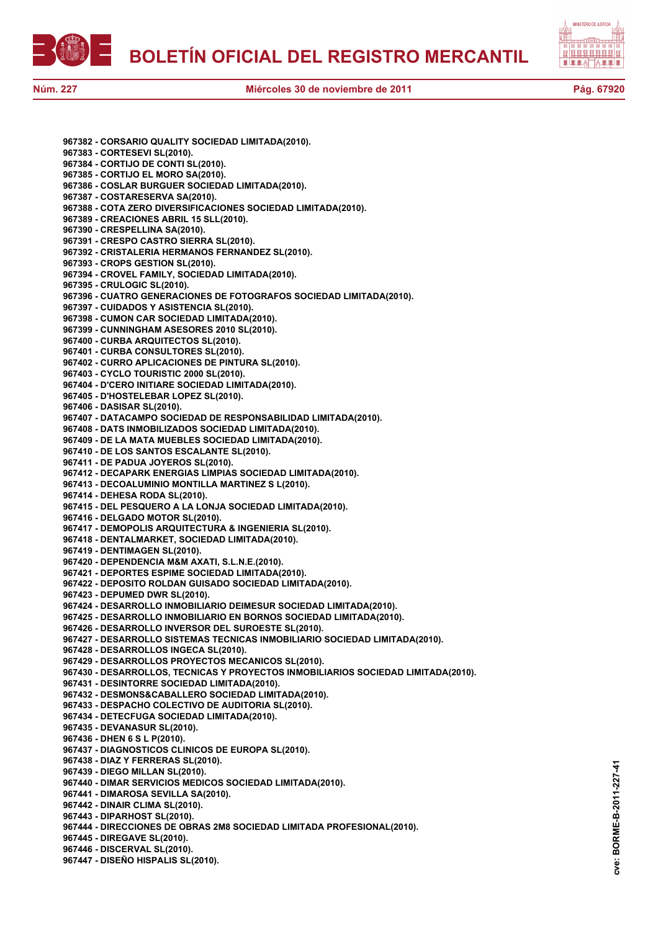



**967382 - CORSARIO QUALITY SOCIEDAD LIMITADA(2010). 967383 - CORTESEVI SL(2010). 967384 - CORTIJO DE CONTI SL(2010). 967385 - CORTIJO EL MORO SA(2010). 967386 - COSLAR BURGUER SOCIEDAD LIMITADA(2010). 967387 - COSTARESERVA SA(2010). 967388 - COTA ZERO DIVERSIFICACIONES SOCIEDAD LIMITADA(2010). 967389 - CREACIONES ABRIL 15 SLL(2010). 967390 - CRESPELLINA SA(2010). 967391 - CRESPO CASTRO SIERRA SL(2010). 967392 - CRISTALERIA HERMANOS FERNANDEZ SL(2010). 967393 - CROPS GESTION SL(2010). 967394 - CROVEL FAMILY, SOCIEDAD LIMITADA(2010). 967395 - CRULOGIC SL(2010). 967396 - CUATRO GENERACIONES DE FOTOGRAFOS SOCIEDAD LIMITADA(2010). 967397 - CUIDADOS Y ASISTENCIA SL(2010). 967398 - CUMON CAR SOCIEDAD LIMITADA(2010). 967399 - CUNNINGHAM ASESORES 2010 SL(2010). 967400 - CURBA ARQUITECTOS SL(2010). 967401 - CURBA CONSULTORES SL(2010). 967402 - CURRO APLICACIONES DE PINTURA SL(2010). 967403 - CYCLO TOURISTIC 2000 SL(2010). 967404 - D'CERO INITIARE SOCIEDAD LIMITADA(2010). 967405 - D'HOSTELEBAR LOPEZ SL(2010). 967406 - DASISAR SL(2010). 967407 - DATACAMPO SOCIEDAD DE RESPONSABILIDAD LIMITADA(2010). 967408 - DATS INMOBILIZADOS SOCIEDAD LIMITADA(2010). 967409 - DE LA MATA MUEBLES SOCIEDAD LIMITADA(2010). 967410 - DE LOS SANTOS ESCALANTE SL(2010). 967411 - DE PADUA JOYEROS SL(2010). 967412 - DECAPARK ENERGIAS LIMPIAS SOCIEDAD LIMITADA(2010). 967413 - DECOALUMINIO MONTILLA MARTINEZ S L(2010). 967414 - DEHESA RODA SL(2010). 967415 - DEL PESQUERO A LA LONJA SOCIEDAD LIMITADA(2010). 967416 - DELGADO MOTOR SL(2010). 967417 - DEMOPOLIS ARQUITECTURA & INGENIERIA SL(2010). 967418 - DENTALMARKET, SOCIEDAD LIMITADA(2010). 967419 - DENTIMAGEN SL(2010). 967420 - DEPENDENCIA M&M AXATI, S.L.N.E.(2010). 967421 - DEPORTES ESPIME SOCIEDAD LIMITADA(2010). 967422 - DEPOSITO ROLDAN GUISADO SOCIEDAD LIMITADA(2010). 967423 - DEPUMED DWR SL(2010). 967424 - DESARROLLO INMOBILIARIO DEIMESUR SOCIEDAD LIMITADA(2010). 967425 - DESARROLLO INMOBILIARIO EN BORNOS SOCIEDAD LIMITADA(2010). 967426 - DESARROLLO INVERSOR DEL SUROESTE SL(2010). 967427 - DESARROLLO SISTEMAS TECNICAS INMOBILIARIO SOCIEDAD LIMITADA(2010). 967428 - DESARROLLOS INGECA SL(2010). 967429 - DESARROLLOS PROYECTOS MECANICOS SL(2010). 967430 - DESARROLLOS, TECNICAS Y PROYECTOS INMOBILIARIOS SOCIEDAD LIMITADA(2010). 967431 - DESINTORRE SOCIEDAD LIMITADA(2010). 967432 - DESMONS&CABALLERO SOCIEDAD LIMITADA(2010). 967433 - DESPACHO COLECTIVO DE AUDITORIA SL(2010). 967434 - DETECFUGA SOCIEDAD LIMITADA(2010). 967435 - DEVANASUR SL(2010). 967436 - DHEN 6 S L P(2010). 967437 - DIAGNOSTICOS CLINICOS DE EUROPA SL(2010). 967438 - DIAZ Y FERRERAS SL(2010). 967439 - DIEGO MILLAN SL(2010). 967440 - DIMAR SERVICIOS MEDICOS SOCIEDAD LIMITADA(2010). 967441 - DIMAROSA SEVILLA SA(2010). 967442 - DINAIR CLIMA SL(2010). 967443 - DIPARHOST SL(2010). 967444 - DIRECCIONES DE OBRAS 2M8 SOCIEDAD LIMITADA PROFESIONAL(2010). 967445 - DIREGAVE SL(2010). 967446 - DISCERVAL SL(2010). 967447 - DISEÑO HISPALIS SL(2010).**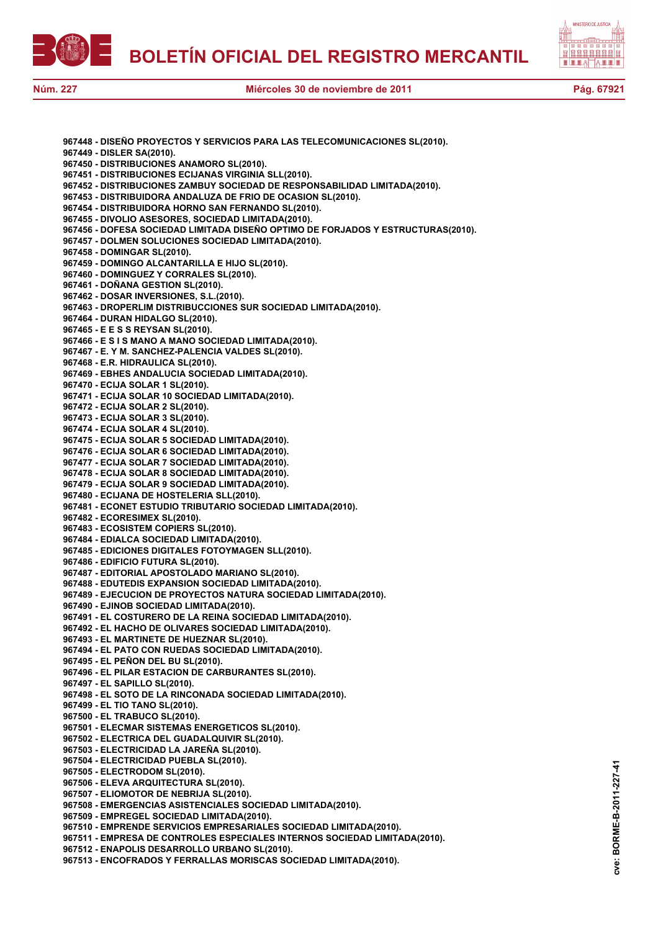



**967448 - DISEÑO PROYECTOS Y SERVICIOS PARA LAS TELECOMUNICACIONES SL(2010). 967449 - DISLER SA(2010). 967450 - DISTRIBUCIONES ANAMORO SL(2010). 967451 - DISTRIBUCIONES ECIJANAS VIRGINIA SLL(2010). 967452 - DISTRIBUCIONES ZAMBUY SOCIEDAD DE RESPONSABILIDAD LIMITADA(2010). 967453 - DISTRIBUIDORA ANDALUZA DE FRIO DE OCASION SL(2010). 967454 - DISTRIBUIDORA HORNO SAN FERNANDO SL(2010). 967455 - DIVOLIO ASESORES, SOCIEDAD LIMITADA(2010). 967456 - DOFESA SOCIEDAD LIMITADA DISEÑO OPTIMO DE FORJADOS Y ESTRUCTURAS(2010). 967457 - DOLMEN SOLUCIONES SOCIEDAD LIMITADA(2010). 967458 - DOMINGAR SL(2010). 967459 - DOMINGO ALCANTARILLA E HIJO SL(2010). 967460 - DOMINGUEZ Y CORRALES SL(2010). 967461 - DOÑANA GESTION SL(2010). 967462 - DOSAR INVERSIONES, S.L.(2010). 967463 - DROPERLIM DISTRIBUCCIONES SUR SOCIEDAD LIMITADA(2010). 967464 - DURAN HIDALGO SL(2010). 967465 - E E S S REYSAN SL(2010). 967466 - E S I S MANO A MANO SOCIEDAD LIMITADA(2010). 967467 - E. Y M. SANCHEZ-PALENCIA VALDES SL(2010). 967468 - E.R. HIDRAULICA SL(2010). 967469 - EBHES ANDALUCIA SOCIEDAD LIMITADA(2010). 967470 - ECIJA SOLAR 1 SL(2010). 967471 - ECIJA SOLAR 10 SOCIEDAD LIMITADA(2010). 967472 - ECIJA SOLAR 2 SL(2010). 967473 - ECIJA SOLAR 3 SL(2010). 967474 - ECIJA SOLAR 4 SL(2010). 967475 - ECIJA SOLAR 5 SOCIEDAD LIMITADA(2010). 967476 - ECIJA SOLAR 6 SOCIEDAD LIMITADA(2010). 967477 - ECIJA SOLAR 7 SOCIEDAD LIMITADA(2010). 967478 - ECIJA SOLAR 8 SOCIEDAD LIMITADA(2010). 967479 - ECIJA SOLAR 9 SOCIEDAD LIMITADA(2010). 967480 - ECIJANA DE HOSTELERIA SLL(2010). 967481 - ECONET ESTUDIO TRIBUTARIO SOCIEDAD LIMITADA(2010). 967482 - ECORESIMEX SL(2010). 967483 - ECOSISTEM COPIERS SL(2010). 967484 - EDIALCA SOCIEDAD LIMITADA(2010). 967485 - EDICIONES DIGITALES FOTOYMAGEN SLL(2010). 967486 - EDIFICIO FUTURA SL(2010). 967487 - EDITORIAL APOSTOLADO MARIANO SL(2010). 967488 - EDUTEDIS EXPANSION SOCIEDAD LIMITADA(2010). 967489 - EJECUCION DE PROYECTOS NATURA SOCIEDAD LIMITADA(2010). 967490 - EJINOB SOCIEDAD LIMITADA(2010). 967491 - EL COSTURERO DE LA REINA SOCIEDAD LIMITADA(2010). 967492 - EL HACHO DE OLIVARES SOCIEDAD LIMITADA(2010). 967493 - EL MARTINETE DE HUEZNAR SL(2010). 967494 - EL PATO CON RUEDAS SOCIEDAD LIMITADA(2010). 967495 - EL PEÑON DEL BU SL(2010). 967496 - EL PILAR ESTACION DE CARBURANTES SL(2010). 967497 - EL SAPILLO SL(2010). 967498 - EL SOTO DE LA RINCONADA SOCIEDAD LIMITADA(2010). 967499 - EL TIO TANO SL(2010). 967500 - EL TRABUCO SL(2010). 967501 - ELECMAR SISTEMAS ENERGETICOS SL(2010). 967502 - ELECTRICA DEL GUADALQUIVIR SL(2010). 967503 - ELECTRICIDAD LA JAREÑA SL(2010). 967504 - ELECTRICIDAD PUEBLA SL(2010). 967505 - ELECTRODOM SL(2010). 967506 - ELEVA ARQUITECTURA SL(2010). 967507 - ELIOMOTOR DE NEBRIJA SL(2010). 967508 - EMERGENCIAS ASISTENCIALES SOCIEDAD LIMITADA(2010). 967509 - EMPREGEL SOCIEDAD LIMITADA(2010). 967510 - EMPRENDE SERVICIOS EMPRESARIALES SOCIEDAD LIMITADA(2010). 967511 - EMPRESA DE CONTROLES ESPECIALES INTERNOS SOCIEDAD LIMITADA(2010). 967512 - ENAPOLIS DESARROLLO URBANO SL(2010).**

**967513 - ENCOFRADOS Y FERRALLAS MORISCAS SOCIEDAD LIMITADA(2010).**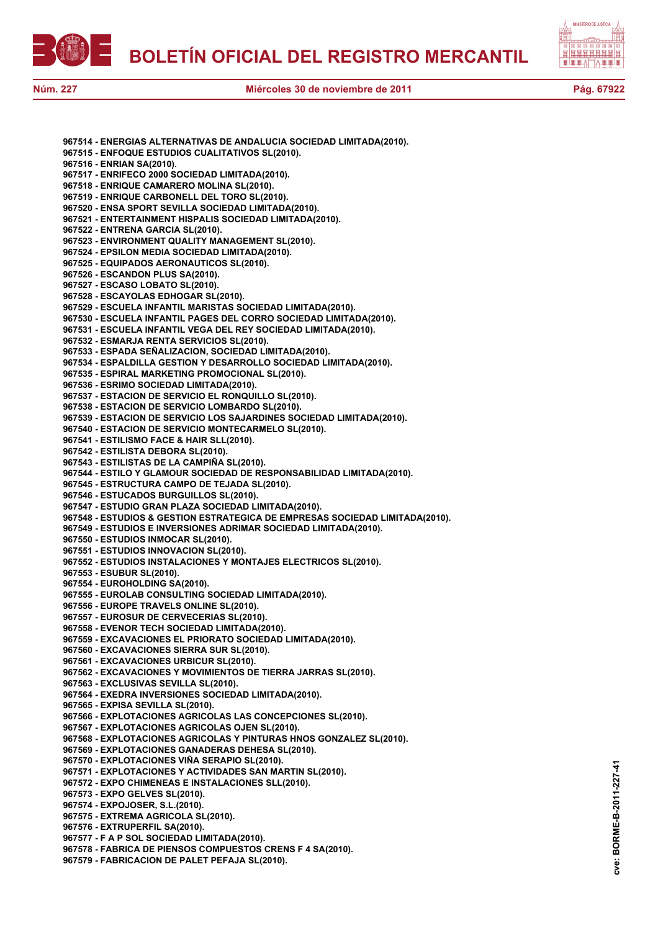



**967514 - ENERGIAS ALTERNATIVAS DE ANDALUCIA SOCIEDAD LIMITADA(2010). 967515 - ENFOQUE ESTUDIOS CUALITATIVOS SL(2010). 967516 - ENRIAN SA(2010). 967517 - ENRIFECO 2000 SOCIEDAD LIMITADA(2010). 967518 - ENRIQUE CAMARERO MOLINA SL(2010). 967519 - ENRIQUE CARBONELL DEL TORO SL(2010). 967520 - ENSA SPORT SEVILLA SOCIEDAD LIMITADA(2010). 967521 - ENTERTAINMENT HISPALIS SOCIEDAD LIMITADA(2010). 967522 - ENTRENA GARCIA SL(2010). 967523 - ENVIRONMENT QUALITY MANAGEMENT SL(2010). 967524 - EPSILON MEDIA SOCIEDAD LIMITADA(2010). 967525 - EQUIPADOS AERONAUTICOS SL(2010). 967526 - ESCANDON PLUS SA(2010). 967527 - ESCASO LOBATO SL(2010). 967528 - ESCAYOLAS EDHOGAR SL(2010). 967529 - ESCUELA INFANTIL MARISTAS SOCIEDAD LIMITADA(2010). 967530 - ESCUELA INFANTIL PAGES DEL CORRO SOCIEDAD LIMITADA(2010). 967531 - ESCUELA INFANTIL VEGA DEL REY SOCIEDAD LIMITADA(2010). 967532 - ESMARJA RENTA SERVICIOS SL(2010). 967533 - ESPADA SEÑALIZACION, SOCIEDAD LIMITADA(2010). 967534 - ESPALDILLA GESTION Y DESARROLLO SOCIEDAD LIMITADA(2010). 967535 - ESPIRAL MARKETING PROMOCIONAL SL(2010). 967536 - ESRIMO SOCIEDAD LIMITADA(2010). 967537 - ESTACION DE SERVICIO EL RONQUILLO SL(2010). 967538 - ESTACION DE SERVICIO LOMBARDO SL(2010). 967539 - ESTACION DE SERVICIO LOS SAJARDINES SOCIEDAD LIMITADA(2010). 967540 - ESTACION DE SERVICIO MONTECARMELO SL(2010). 967541 - ESTILISMO FACE & HAIR SLL(2010). 967542 - ESTILISTA DEBORA SL(2010). 967543 - ESTILISTAS DE LA CAMPIÑA SL(2010). 967544 - ESTILO Y GLAMOUR SOCIEDAD DE RESPONSABILIDAD LIMITADA(2010). 967545 - ESTRUCTURA CAMPO DE TEJADA SL(2010). 967546 - ESTUCADOS BURGUILLOS SL(2010). 967547 - ESTUDIO GRAN PLAZA SOCIEDAD LIMITADA(2010). 967548 - ESTUDIOS & GESTION ESTRATEGICA DE EMPRESAS SOCIEDAD LIMITADA(2010). 967549 - ESTUDIOS E INVERSIONES ADRIMAR SOCIEDAD LIMITADA(2010). 967550 - ESTUDIOS INMOCAR SL(2010). 967551 - ESTUDIOS INNOVACION SL(2010). 967552 - ESTUDIOS INSTALACIONES Y MONTAJES ELECTRICOS SL(2010). 967553 - ESUBUR SL(2010). 967554 - EUROHOLDING SA(2010). 967555 - EUROLAB CONSULTING SOCIEDAD LIMITADA(2010). 967556 - EUROPE TRAVELS ONLINE SL(2010). 967557 - EUROSUR DE CERVECERIAS SL(2010). 967558 - EVENOR TECH SOCIEDAD LIMITADA(2010). 967559 - EXCAVACIONES EL PRIORATO SOCIEDAD LIMITADA(2010). 967560 - EXCAVACIONES SIERRA SUR SL(2010). 967561 - EXCAVACIONES URBICUR SL(2010). 967562 - EXCAVACIONES Y MOVIMIENTOS DE TIERRA JARRAS SL(2010). 967563 - EXCLUSIVAS SEVILLA SL(2010). 967564 - EXEDRA INVERSIONES SOCIEDAD LIMITADA(2010). 967565 - EXPISA SEVILLA SL(2010). 967566 - EXPLOTACIONES AGRICOLAS LAS CONCEPCIONES SL(2010). 967567 - EXPLOTACIONES AGRICOLAS OJEN SL(2010). 967568 - EXPLOTACIONES AGRICOLAS Y PINTURAS HNOS GONZALEZ SL(2010). 967569 - EXPLOTACIONES GANADERAS DEHESA SL(2010). 967570 - EXPLOTACIONES VIÑA SERAPIO SL(2010). 967571 - EXPLOTACIONES Y ACTIVIDADES SAN MARTIN SL(2010). 967572 - EXPO CHIMENEAS E INSTALACIONES SLL(2010). 967573 - EXPO GELVES SL(2010). 967574 - EXPOJOSER, S.L.(2010). 967575 - EXTREMA AGRICOLA SL(2010). 967576 - EXTRUPERFIL SA(2010). 967577 - F A P SOL SOCIEDAD LIMITADA(2010). 967578 - FABRICA DE PIENSOS COMPUESTOS CRENS F 4 SA(2010).**

**967579 - FABRICACION DE PALET PEFAJA SL(2010).**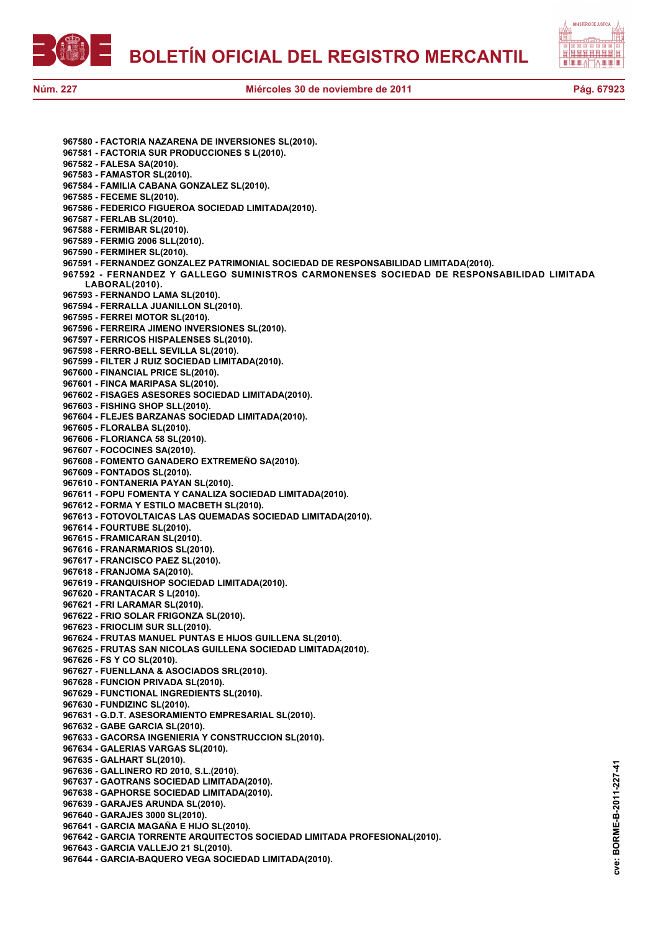

**cve: BORME-B-2011-227-41**

cve:

BORME-B-2011-227-41

**967580 - FACTORIA NAZARENA DE INVERSIONES SL(2010). 967581 - FACTORIA SUR PRODUCCIONES S L(2010). 967582 - FALESA SA(2010). 967583 - FAMASTOR SL(2010). 967584 - FAMILIA CABANA GONZALEZ SL(2010). 967585 - FECEME SL(2010). 967586 - FEDERICO FIGUEROA SOCIEDAD LIMITADA(2010). 967587 - FERLAB SL(2010). 967588 - FERMIBAR SL(2010). 967589 - FERMIG 2006 SLL(2010). 967590 - FERMIHER SL(2010). 967591 - FERNANDEZ GONZALEZ PATRIMONIAL SOCIEDAD DE RESPONSABILIDAD LIMITADA(2010). 967592 - FERNANDEZ Y GALLEGO SUMINISTROS CARMONENSES SOCIEDAD DE RESPONSABILIDAD LIMITADA LABORAL(2010). 967593 - FERNANDO LAMA SL(2010). 967594 - FERRALLA JUANILLON SL(2010). 967595 - FERREI MOTOR SL(2010). 967596 - FERREIRA JIMENO INVERSIONES SL(2010). 967597 - FERRICOS HISPALENSES SL(2010). 967598 - FERRO-BELL SEVILLA SL(2010). 967599 - FILTER J RUIZ SOCIEDAD LIMITADA(2010). 967600 - FINANCIAL PRICE SL(2010). 967601 - FINCA MARIPASA SL(2010). 967602 - FISAGES ASESORES SOCIEDAD LIMITADA(2010). 967603 - FISHING SHOP SLL(2010). 967604 - FLEJES BARZANAS SOCIEDAD LIMITADA(2010). 967605 - FLORALBA SL(2010). 967606 - FLORIANCA 58 SL(2010). 967607 - FOCOCINES SA(2010). 967608 - FOMENTO GANADERO EXTREMEÑO SA(2010). 967609 - FONTADOS SL(2010). 967610 - FONTANERIA PAYAN SL(2010). 967611 - FOPU FOMENTA Y CANALIZA SOCIEDAD LIMITADA(2010). 967612 - FORMA Y ESTILO MACBETH SL(2010). 967613 - FOTOVOLTAICAS LAS QUEMADAS SOCIEDAD LIMITADA(2010). 967614 - FOURTUBE SL(2010). 967615 - FRAMICARAN SL(2010). 967616 - FRANARMARIOS SL(2010). 967617 - FRANCISCO PAEZ SL(2010). 967618 - FRANJOMA SA(2010). 967619 - FRANQUISHOP SOCIEDAD LIMITADA(2010). 967620 - FRANTACAR S L(2010). 967621 - FRI LARAMAR SL(2010). 967622 - FRIO SOLAR FRIGONZA SL(2010). 967623 - FRIOCLIM SUR SLL(2010). 967624 - FRUTAS MANUEL PUNTAS E HIJOS GUILLENA SL(2010). 967625 - FRUTAS SAN NICOLAS GUILLENA SOCIEDAD LIMITADA(2010). 967626 - FS Y CO SL(2010). 967627 - FUENLLANA & ASOCIADOS SRL(2010). 967628 - FUNCION PRIVADA SL(2010). 967629 - FUNCTIONAL INGREDIENTS SL(2010). 967630 - FUNDIZINC SL(2010). 967631 - G.D.T. ASESORAMIENTO EMPRESARIAL SL(2010). 967632 - GABE GARCIA SL(2010). 967633 - GACORSA INGENIERIA Y CONSTRUCCION SL(2010). 967634 - GALERIAS VARGAS SL(2010). 967635 - GALHART SL(2010). 967636 - GALLINERO RD 2010, S.L.(2010). 967637 - GAOTRANS SOCIEDAD LIMITADA(2010). 967638 - GAPHORSE SOCIEDAD LIMITADA(2010). 967639 - GARAJES ARUNDA SL(2010). 967640 - GARAJES 3000 SL(2010). 967641 - GARCIA MAGAÑA E HIJO SL(2010). 967642 - GARCIA TORRENTE ARQUITECTOS SOCIEDAD LIMITADA PROFESIONAL(2010). 967643 - GARCIA VALLEJO 21 SL(2010). 967644 - GARCIA-BAQUERO VEGA SOCIEDAD LIMITADA(2010).**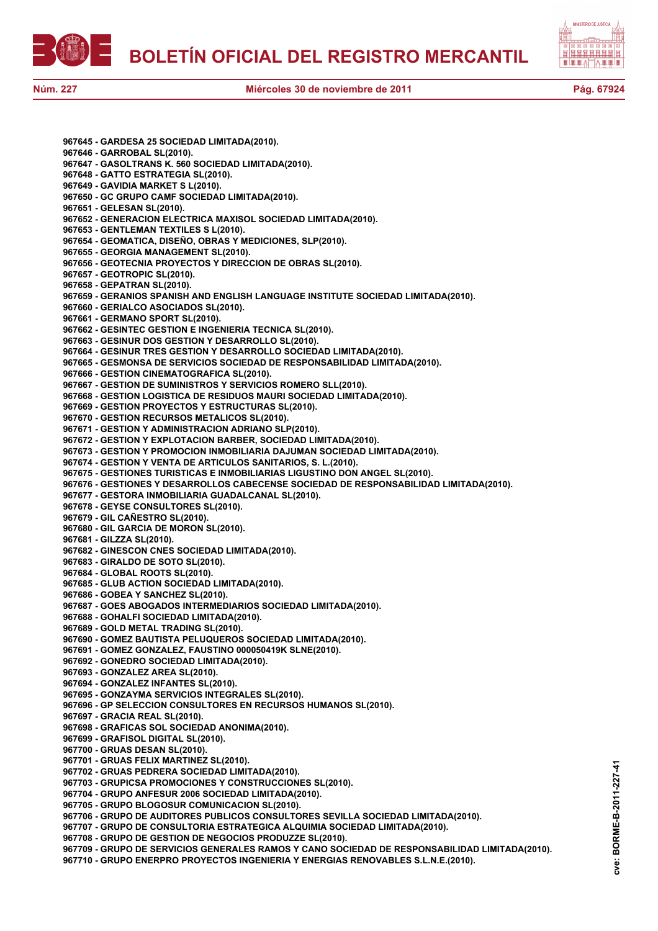



**967645 - GARDESA 25 SOCIEDAD LIMITADA(2010). 967646 - GARROBAL SL(2010). 967647 - GASOLTRANS K. 560 SOCIEDAD LIMITADA(2010). 967648 - GATTO ESTRATEGIA SL(2010). 967649 - GAVIDIA MARKET S L(2010). 967650 - GC GRUPO CAMF SOCIEDAD LIMITADA(2010). 967651 - GELESAN SL(2010). 967652 - GENERACION ELECTRICA MAXISOL SOCIEDAD LIMITADA(2010). 967653 - GENTLEMAN TEXTILES S L(2010). 967654 - GEOMATICA, DISEÑO, OBRAS Y MEDICIONES, SLP(2010). 967655 - GEORGIA MANAGEMENT SL(2010). 967656 - GEOTECNIA PROYECTOS Y DIRECCION DE OBRAS SL(2010). 967657 - GEOTROPIC SL(2010). 967658 - GEPATRAN SL(2010). 967659 - GERANIOS SPANISH AND ENGLISH LANGUAGE INSTITUTE SOCIEDAD LIMITADA(2010). 967660 - GERIALCO ASOCIADOS SL(2010). 967661 - GERMANO SPORT SL(2010). 967662 - GESINTEC GESTION E INGENIERIA TECNICA SL(2010). 967663 - GESINUR DOS GESTION Y DESARROLLO SL(2010). 967664 - GESINUR TRES GESTION Y DESARROLLO SOCIEDAD LIMITADA(2010). 967665 - GESMONSA DE SERVICIOS SOCIEDAD DE RESPONSABILIDAD LIMITADA(2010). 967666 - GESTION CINEMATOGRAFICA SL(2010). 967667 - GESTION DE SUMINISTROS Y SERVICIOS ROMERO SLL(2010). 967668 - GESTION LOGISTICA DE RESIDUOS MAURI SOCIEDAD LIMITADA(2010). 967669 - GESTION PROYECTOS Y ESTRUCTURAS SL(2010). 967670 - GESTION RECURSOS METALICOS SL(2010). 967671 - GESTION Y ADMINISTRACION ADRIANO SLP(2010). 967672 - GESTION Y EXPLOTACION BARBER, SOCIEDAD LIMITADA(2010). 967673 - GESTION Y PROMOCION INMOBILIARIA DAJUMAN SOCIEDAD LIMITADA(2010). 967674 - GESTION Y VENTA DE ARTICULOS SANITARIOS, S. L.(2010). 967675 - GESTIONES TURISTICAS E INMOBILIARIAS LIGUSTINO DON ANGEL SL(2010). 967676 - GESTIONES Y DESARROLLOS CABECENSE SOCIEDAD DE RESPONSABILIDAD LIMITADA(2010). 967677 - GESTORA INMOBILIARIA GUADALCANAL SL(2010). 967678 - GEYSE CONSULTORES SL(2010). 967679 - GIL CAÑESTRO SL(2010). 967680 - GIL GARCIA DE MORON SL(2010). 967681 - GILZZA SL(2010). 967682 - GINESCON CNES SOCIEDAD LIMITADA(2010). 967683 - GIRALDO DE SOTO SL(2010). 967684 - GLOBAL ROOTS SL(2010). 967685 - GLUB ACTION SOCIEDAD LIMITADA(2010). 967686 - GOBEA Y SANCHEZ SL(2010). 967687 - GOES ABOGADOS INTERMEDIARIOS SOCIEDAD LIMITADA(2010). 967688 - GOHALFI SOCIEDAD LIMITADA(2010). 967689 - GOLD METAL TRADING SL(2010). 967690 - GOMEZ BAUTISTA PELUQUEROS SOCIEDAD LIMITADA(2010). 967691 - GOMEZ GONZALEZ, FAUSTINO 000050419K SLNE(2010). 967692 - GONEDRO SOCIEDAD LIMITADA(2010). 967693 - GONZALEZ AREA SL(2010). 967694 - GONZALEZ INFANTES SL(2010). 967695 - GONZAYMA SERVICIOS INTEGRALES SL(2010). 967696 - GP SELECCION CONSULTORES EN RECURSOS HUMANOS SL(2010). 967697 - GRACIA REAL SL(2010). 967698 - GRAFICAS SOL SOCIEDAD ANONIMA(2010). 967699 - GRAFISOL DIGITAL SL(2010). 967700 - GRUAS DESAN SL(2010). 967701 - GRUAS FELIX MARTINEZ SL(2010). 967702 - GRUAS PEDRERA SOCIEDAD LIMITADA(2010). 967703 - GRUPICSA PROMOCIONES Y CONSTRUCCIONES SL(2010). 967704 - GRUPO ANFESUR 2006 SOCIEDAD LIMITADA(2010). 967705 - GRUPO BLOGOSUR COMUNICACION SL(2010). 967706 - GRUPO DE AUDITORES PUBLICOS CONSULTORES SEVILLA SOCIEDAD LIMITADA(2010). 967707 - GRUPO DE CONSULTORIA ESTRATEGICA ALQUIMIA SOCIEDAD LIMITADA(2010). 967708 - GRUPO DE GESTION DE NEGOCIOS PRODUZZE SL(2010). 967709 - GRUPO DE SERVICIOS GENERALES RAMOS Y CANO SOCIEDAD DE RESPONSABILIDAD LIMITADA(2010).**

**967710 - GRUPO ENERPRO PROYECTOS INGENIERIA Y ENERGIAS RENOVABLES S.L.N.E.(2010).**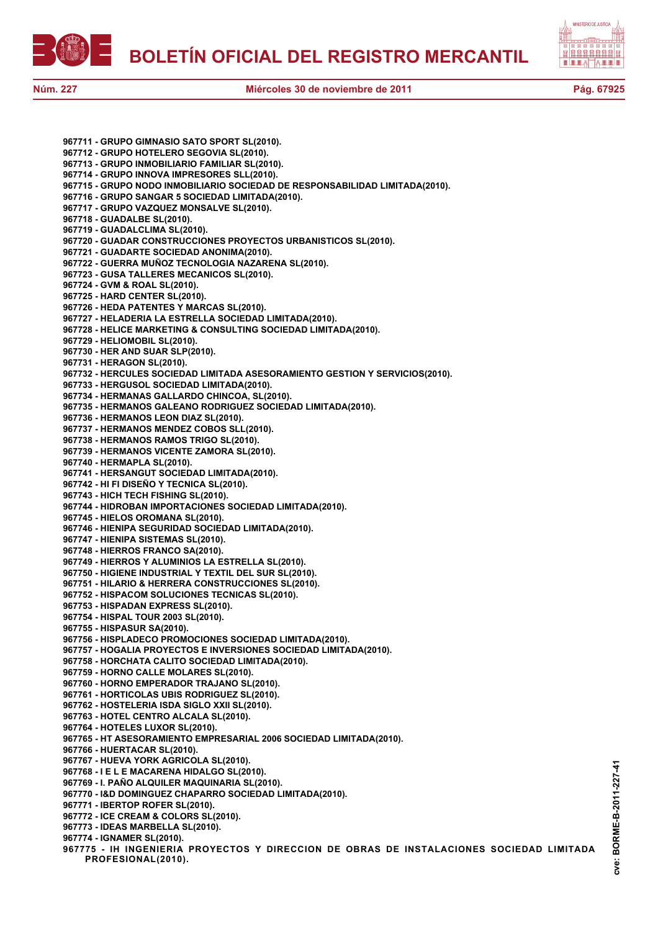



**967711 - GRUPO GIMNASIO SATO SPORT SL(2010). 967712 - GRUPO HOTELERO SEGOVIA SL(2010). 967713 - GRUPO INMOBILIARIO FAMILIAR SL(2010). 967714 - GRUPO INNOVA IMPRESORES SLL(2010). 967715 - GRUPO NODO INMOBILIARIO SOCIEDAD DE RESPONSABILIDAD LIMITADA(2010). 967716 - GRUPO SANGAR 5 SOCIEDAD LIMITADA(2010). 967717 - GRUPO VAZQUEZ MONSALVE SL(2010). 967718 - GUADALBE SL(2010). 967719 - GUADALCLIMA SL(2010). 967720 - GUADAR CONSTRUCCIONES PROYECTOS URBANISTICOS SL(2010). 967721 - GUADARTE SOCIEDAD ANONIMA(2010). 967722 - GUERRA MUÑOZ TECNOLOGIA NAZARENA SL(2010). 967723 - GUSA TALLERES MECANICOS SL(2010). 967724 - GVM & ROAL SL(2010). 967725 - HARD CENTER SL(2010). 967726 - HEDA PATENTES Y MARCAS SL(2010). 967727 - HELADERIA LA ESTRELLA SOCIEDAD LIMITADA(2010). 967728 - HELICE MARKETING & CONSULTING SOCIEDAD LIMITADA(2010). 967729 - HELIOMOBIL SL(2010). 967730 - HER AND SUAR SLP(2010). 967731 - HERAGON SL(2010). 967732 - HERCULES SOCIEDAD LIMITADA ASESORAMIENTO GESTION Y SERVICIOS(2010). 967733 - HERGUSOL SOCIEDAD LIMITADA(2010). 967734 - HERMANAS GALLARDO CHINCOA, SL(2010). 967735 - HERMANOS GALEANO RODRIGUEZ SOCIEDAD LIMITADA(2010). 967736 - HERMANOS LEON DIAZ SL(2010). 967737 - HERMANOS MENDEZ COBOS SLL(2010). 967738 - HERMANOS RAMOS TRIGO SL(2010). 967739 - HERMANOS VICENTE ZAMORA SL(2010). 967740 - HERMAPLA SL(2010). 967741 - HERSANGUT SOCIEDAD LIMITADA(2010). 967742 - HI FI DISEÑO Y TECNICA SL(2010). 967743 - HICH TECH FISHING SL(2010). 967744 - HIDROBAN IMPORTACIONES SOCIEDAD LIMITADA(2010). 967745 - HIELOS OROMANA SL(2010). 967746 - HIENIPA SEGURIDAD SOCIEDAD LIMITADA(2010). 967747 - HIENIPA SISTEMAS SL(2010). 967748 - HIERROS FRANCO SA(2010). 967749 - HIERROS Y ALUMINIOS LA ESTRELLA SL(2010). 967750 - HIGIENE INDUSTRIAL Y TEXTIL DEL SUR SL(2010). 967751 - HILARIO & HERRERA CONSTRUCCIONES SL(2010). 967752 - HISPACOM SOLUCIONES TECNICAS SL(2010). 967753 - HISPADAN EXPRESS SL(2010). 967754 - HISPAL TOUR 2003 SL(2010). 967755 - HISPASUR SA(2010). 967756 - HISPLADECO PROMOCIONES SOCIEDAD LIMITADA(2010). 967757 - HOGALIA PROYECTOS E INVERSIONES SOCIEDAD LIMITADA(2010). 967758 - HORCHATA CALITO SOCIEDAD LIMITADA(2010). 967759 - HORNO CALLE MOLARES SL(2010). 967760 - HORNO EMPERADOR TRAJANO SL(2010). 967761 - HORTICOLAS UBIS RODRIGUEZ SL(2010). 967762 - HOSTELERIA ISDA SIGLO XXII SL(2010). 967763 - HOTEL CENTRO ALCALA SL(2010). 967764 - HOTELES LUXOR SL(2010). 967765 - HT ASESORAMIENTO EMPRESARIAL 2006 SOCIEDAD LIMITADA(2010). 967766 - HUERTACAR SL(2010). 967767 - HUEVA YORK AGRICOLA SL(2010). 967768 - I E L E MACARENA HIDALGO SL(2010). 967769 - I. PAÑO ALQUILER MAQUINARIA SL(2010). 967770 - I&D DOMINGUEZ CHAPARRO SOCIEDAD LIMITADA(2010). 967771 - IBERTOP ROFER SL(2010). 967772 - ICE CREAM & COLORS SL(2010). 967773 - IDEAS MARBELLA SL(2010). 967774 - IGNAMER SL(2010). 967775 - IH INGENIERIA PROYECTOS Y DIRECCION DE OBRAS DE INSTALACIONES SOCIEDAD LIMITADA**

**PROFESIONAL(2010).**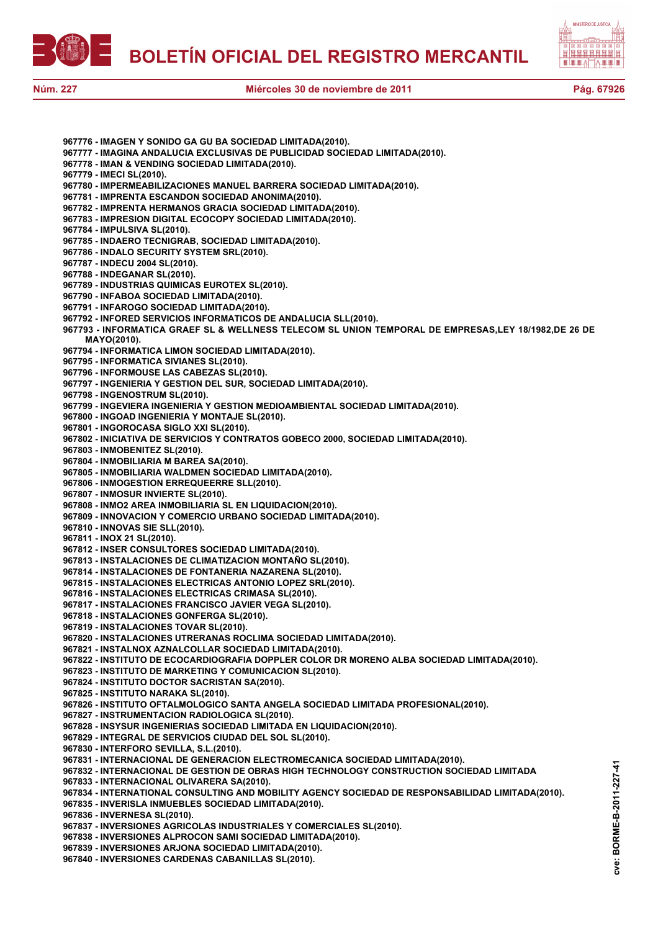



- **967776 IMAGEN Y SONIDO GA GU BA SOCIEDAD LIMITADA(2010). 967777 - IMAGINA ANDALUCIA EXCLUSIVAS DE PUBLICIDAD SOCIEDAD LIMITADA(2010). 967778 - IMAN & VENDING SOCIEDAD LIMITADA(2010). 967779 - IMECI SL(2010). 967780 - IMPERMEABILIZACIONES MANUEL BARRERA SOCIEDAD LIMITADA(2010). 967781 - IMPRENTA ESCANDON SOCIEDAD ANONIMA(2010). 967782 - IMPRENTA HERMANOS GRACIA SOCIEDAD LIMITADA(2010). 967783 - IMPRESION DIGITAL ECOCOPY SOCIEDAD LIMITADA(2010). 967784 - IMPULSIVA SL(2010). 967785 - INDAERO TECNIGRAB, SOCIEDAD LIMITADA(2010). 967786 - INDALO SECURITY SYSTEM SRL(2010). 967787 - INDECU 2004 SL(2010). 967788 - INDEGANAR SL(2010). 967789 - INDUSTRIAS QUIMICAS EUROTEX SL(2010). 967790 - INFABOA SOCIEDAD LIMITADA(2010). 967791 - INFAROGO SOCIEDAD LIMITADA(2010). 967792 - INFORED SERVICIOS INFORMATICOS DE ANDALUCIA SLL(2010). 967793 - INFORMATICA GRAEF SL & WELLNESS TELECOM SL UNION TEMPORAL DE EMPRESAS,LEY 18/1982,DE 26 DE MAYO(2010). 967794 - INFORMATICA LIMON SOCIEDAD LIMITADA(2010). 967795 - INFORMATICA SIVIANES SL(2010). 967796 - INFORMOUSE LAS CABEZAS SL(2010). 967797 - INGENIERIA Y GESTION DEL SUR, SOCIEDAD LIMITADA(2010). 967798 - INGENOSTRUM SL(2010). 967799 - INGEVIERA INGENIERIA Y GESTION MEDIOAMBIENTAL SOCIEDAD LIMITADA(2010). 967800 - INGOAD INGENIERIA Y MONTAJE SL(2010). 967801 - INGOROCASA SIGLO XXI SL(2010). 967802 - INICIATIVA DE SERVICIOS Y CONTRATOS GOBECO 2000, SOCIEDAD LIMITADA(2010). 967803 - INMOBENITEZ SL(2010). 967804 - INMOBILIARIA M BAREA SA(2010). 967805 - INMOBILIARIA WALDMEN SOCIEDAD LIMITADA(2010). 967806 - INMOGESTION ERREQUEERRE SLL(2010). 967807 - INMOSUR INVIERTE SL(2010). 967808 - INMO2 AREA INMOBILIARIA SL EN LIQUIDACION(2010). 967809 - INNOVACION Y COMERCIO URBANO SOCIEDAD LIMITADA(2010). 967810 - INNOVAS SIE SLL(2010). 967811 - INOX 21 SL(2010). 967812 - INSER CONSULTORES SOCIEDAD LIMITADA(2010). 967813 - INSTALACIONES DE CLIMATIZACION MONTAÑO SL(2010). 967814 - INSTALACIONES DE FONTANERIA NAZARENA SL(2010). 967815 - INSTALACIONES ELECTRICAS ANTONIO LOPEZ SRL(2010). 967816 - INSTALACIONES ELECTRICAS CRIMASA SL(2010). 967817 - INSTALACIONES FRANCISCO JAVIER VEGA SL(2010). 967818 - INSTALACIONES GONFERGA SL(2010). 967819 - INSTALACIONES TOVAR SL(2010). 967820 - INSTALACIONES UTRERANAS ROCLIMA SOCIEDAD LIMITADA(2010). 967821 - INSTALNOX AZNALCOLLAR SOCIEDAD LIMITADA(2010). 967822 - INSTITUTO DE ECOCARDIOGRAFIA DOPPLER COLOR DR MORENO ALBA SOCIEDAD LIMITADA(2010). 967823 - INSTITUTO DE MARKETING Y COMUNICACION SL(2010). 967824 - INSTITUTO DOCTOR SACRISTAN SA(2010). 967825 - INSTITUTO NARAKA SL(2010). 967826 - INSTITUTO OFTALMOLOGICO SANTA ANGELA SOCIEDAD LIMITADA PROFESIONAL(2010). 967827 - INSTRUMENTACION RADIOLOGICA SL(2010). 967828 - INSYSUR INGENIERIAS SOCIEDAD LIMITADA EN LIQUIDACION(2010). 967829 - INTEGRAL DE SERVICIOS CIUDAD DEL SOL SL(2010). 967830 - INTERFORO SEVILLA, S.L.(2010). 967831 - INTERNACIONAL DE GENERACION ELECTROMECANICA SOCIEDAD LIMITADA(2010). 967832 - INTERNACIONAL DE GESTION DE OBRAS HIGH TECHNOLOGY CONSTRUCTION SOCIEDAD LIMITADA 967833 - INTERNACIONAL OLIVARERA SA(2010). 967834 - INTERNATIONAL CONSULTING AND MOBILITY AGENCY SOCIEDAD DE RESPONSABILIDAD LIMITADA(2010). 967835 - INVERISLA INMUEBLES SOCIEDAD LIMITADA(2010). 967836 - INVERNESA SL(2010). 967837 - INVERSIONES AGRICOLAS INDUSTRIALES Y COMERCIALES SL(2010). 967838 - INVERSIONES ALPROCON SAMI SOCIEDAD LIMITADA(2010). 967839 - INVERSIONES ARJONA SOCIEDAD LIMITADA(2010).**
	- **967840 INVERSIONES CARDENAS CABANILLAS SL(2010).**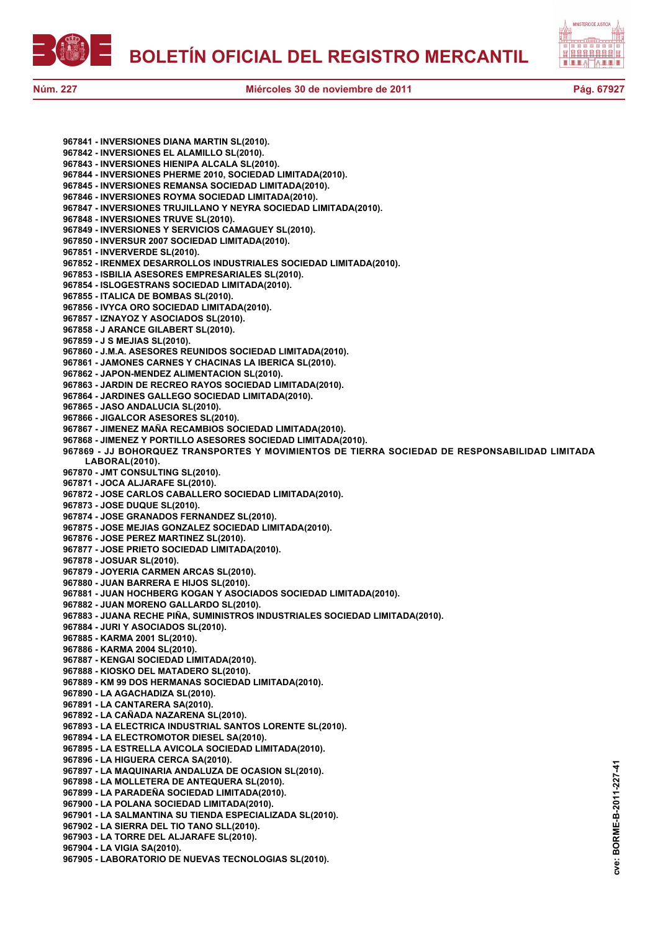



**cve: BORME-B-2011-227-41**

cve:

BORME-B-2011-227-41

**967841 - INVERSIONES DIANA MARTIN SL(2010). 967842 - INVERSIONES EL ALAMILLO SL(2010). 967843 - INVERSIONES HIENIPA ALCALA SL(2010). 967844 - INVERSIONES PHERME 2010, SOCIEDAD LIMITADA(2010). 967845 - INVERSIONES REMANSA SOCIEDAD LIMITADA(2010). 967846 - INVERSIONES ROYMA SOCIEDAD LIMITADA(2010). 967847 - INVERSIONES TRUJILLANO Y NEYRA SOCIEDAD LIMITADA(2010). 967848 - INVERSIONES TRUVE SL(2010). 967849 - INVERSIONES Y SERVICIOS CAMAGUEY SL(2010). 967850 - INVERSUR 2007 SOCIEDAD LIMITADA(2010). 967851 - INVERVERDE SL(2010). 967852 - IRENMEX DESARROLLOS INDUSTRIALES SOCIEDAD LIMITADA(2010). 967853 - ISBILIA ASESORES EMPRESARIALES SL(2010). 967854 - ISLOGESTRANS SOCIEDAD LIMITADA(2010). 967855 - ITALICA DE BOMBAS SL(2010). 967856 - IVYCA ORO SOCIEDAD LIMITADA(2010). 967857 - IZNAYOZ Y ASOCIADOS SL(2010). 967858 - J ARANCE GILABERT SL(2010). 967859 - J S MEJIAS SL(2010). 967860 - J.M.A. ASESORES REUNIDOS SOCIEDAD LIMITADA(2010). 967861 - JAMONES CARNES Y CHACINAS LA IBERICA SL(2010). 967862 - JAPON-MENDEZ ALIMENTACION SL(2010). 967863 - JARDIN DE RECREO RAYOS SOCIEDAD LIMITADA(2010). 967864 - JARDINES GALLEGO SOCIEDAD LIMITADA(2010). 967865 - JASO ANDALUCIA SL(2010). 967866 - JIGALCOR ASESORES SL(2010). 967867 - JIMENEZ MAÑA RECAMBIOS SOCIEDAD LIMITADA(2010). 967868 - JIMENEZ Y PORTILLO ASESORES SOCIEDAD LIMITADA(2010). 967869 - JJ BOHORQUEZ TRANSPORTES Y MOVIMIENTOS DE TIERRA SOCIEDAD DE RESPONSABILIDAD LIMITADA LABORAL(2010). 967870 - JMT CONSULTING SL(2010). 967871 - JOCA ALJARAFE SL(2010). 967872 - JOSE CARLOS CABALLERO SOCIEDAD LIMITADA(2010). 967873 - JOSE DUQUE SL(2010). 967874 - JOSE GRANADOS FERNANDEZ SL(2010). 967875 - JOSE MEJIAS GONZALEZ SOCIEDAD LIMITADA(2010). 967876 - JOSE PEREZ MARTINEZ SL(2010). 967877 - JOSE PRIETO SOCIEDAD LIMITADA(2010). 967878 - JOSUAR SL(2010). 967879 - JOYERIA CARMEN ARCAS SL(2010). 967880 - JUAN BARRERA E HIJOS SL(2010). 967881 - JUAN HOCHBERG KOGAN Y ASOCIADOS SOCIEDAD LIMITADA(2010). 967882 - JUAN MORENO GALLARDO SL(2010). 967883 - JUANA RECHE PIÑA, SUMINISTROS INDUSTRIALES SOCIEDAD LIMITADA(2010). 967884 - JURI Y ASOCIADOS SL(2010). 967885 - KARMA 2001 SL(2010). 967886 - KARMA 2004 SL(2010). 967887 - KENGAI SOCIEDAD LIMITADA(2010). 967888 - KIOSKO DEL MATADERO SL(2010). 967889 - KM 99 DOS HERMANAS SOCIEDAD LIMITADA(2010). 967890 - LA AGACHADIZA SL(2010). 967891 - LA CANTARERA SA(2010). 967892 - LA CAÑADA NAZARENA SL(2010). 967893 - LA ELECTRICA INDUSTRIAL SANTOS LORENTE SL(2010). 967894 - LA ELECTROMOTOR DIESEL SA(2010). 967895 - LA ESTRELLA AVICOLA SOCIEDAD LIMITADA(2010). 967896 - LA HIGUERA CERCA SA(2010). 967897 - LA MAQUINARIA ANDALUZA DE OCASION SL(2010). 967898 - LA MOLLETERA DE ANTEQUERA SL(2010). 967899 - LA PARADEÑA SOCIEDAD LIMITADA(2010). 967900 - LA POLANA SOCIEDAD LIMITADA(2010). 967901 - LA SALMANTINA SU TIENDA ESPECIALIZADA SL(2010). 967902 - LA SIERRA DEL TIO TANO SLL(2010). 967903 - LA TORRE DEL ALJARAFE SL(2010). 967904 - LA VIGIA SA(2010).**

**967905 - LABORATORIO DE NUEVAS TECNOLOGIAS SL(2010).**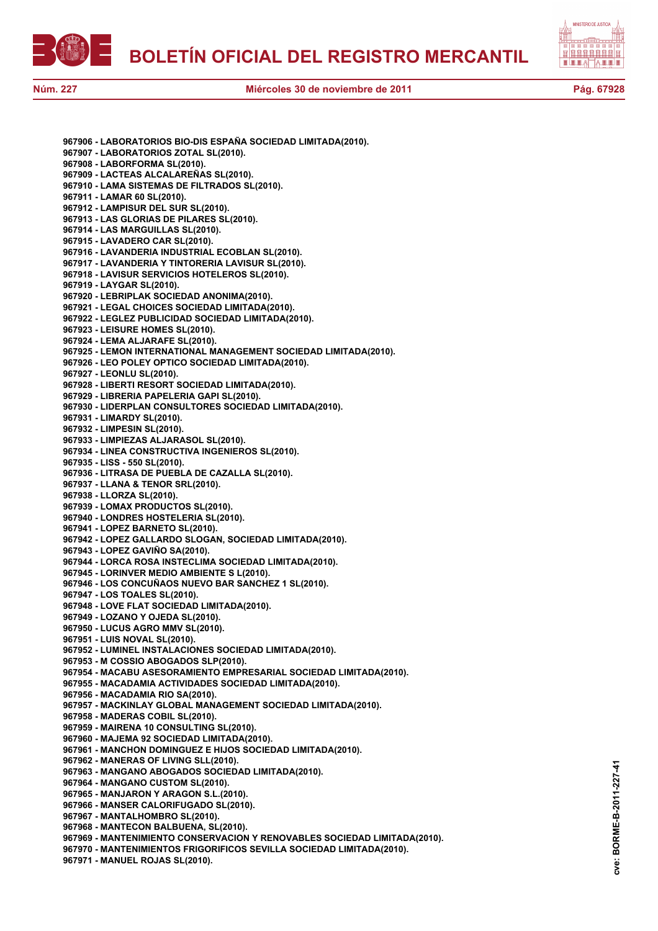



**967906 - LABORATORIOS BIO-DIS ESPAÑA SOCIEDAD LIMITADA(2010). 967907 - LABORATORIOS ZOTAL SL(2010). 967908 - LABORFORMA SL(2010). 967909 - LACTEAS ALCALAREÑAS SL(2010). 967910 - LAMA SISTEMAS DE FILTRADOS SL(2010). 967911 - LAMAR 60 SL(2010). 967912 - LAMPISUR DEL SUR SL(2010). 967913 - LAS GLORIAS DE PILARES SL(2010). 967914 - LAS MARGUILLAS SL(2010). 967915 - LAVADERO CAR SL(2010). 967916 - LAVANDERIA INDUSTRIAL ECOBLAN SL(2010). 967917 - LAVANDERIA Y TINTORERIA LAVISUR SL(2010). 967918 - LAVISUR SERVICIOS HOTELEROS SL(2010). 967919 - LAYGAR SL(2010). 967920 - LEBRIPLAK SOCIEDAD ANONIMA(2010). 967921 - LEGAL CHOICES SOCIEDAD LIMITADA(2010). 967922 - LEGLEZ PUBLICIDAD SOCIEDAD LIMITADA(2010). 967923 - LEISURE HOMES SL(2010). 967924 - LEMA ALJARAFE SL(2010). 967925 - LEMON INTERNATIONAL MANAGEMENT SOCIEDAD LIMITADA(2010). 967926 - LEO POLEY OPTICO SOCIEDAD LIMITADA(2010). 967927 - LEONLU SL(2010). 967928 - LIBERTI RESORT SOCIEDAD LIMITADA(2010). 967929 - LIBRERIA PAPELERIA GAPI SL(2010). 967930 - LIDERPLAN CONSULTORES SOCIEDAD LIMITADA(2010). 967931 - LIMARDY SL(2010). 967932 - LIMPESIN SL(2010). 967933 - LIMPIEZAS ALJARASOL SL(2010). 967934 - LINEA CONSTRUCTIVA INGENIEROS SL(2010). 967935 - LISS - 550 SL(2010). 967936 - LITRASA DE PUEBLA DE CAZALLA SL(2010). 967937 - LLANA & TENOR SRL(2010). 967938 - LLORZA SL(2010). 967939 - LOMAX PRODUCTOS SL(2010). 967940 - LONDRES HOSTELERIA SL(2010). 967941 - LOPEZ BARNETO SL(2010). 967942 - LOPEZ GALLARDO SLOGAN, SOCIEDAD LIMITADA(2010). 967943 - LOPEZ GAVIÑO SA(2010). 967944 - LORCA ROSA INSTECLIMA SOCIEDAD LIMITADA(2010). 967945 - LORINVER MEDIO AMBIENTE S L(2010). 967946 - LOS CONCUÑAOS NUEVO BAR SANCHEZ 1 SL(2010). 967947 - LOS TOALES SL(2010). 967948 - LOVE FLAT SOCIEDAD LIMITADA(2010). 967949 - LOZANO Y OJEDA SL(2010). 967950 - LUCUS AGRO MMV SL(2010). 967951 - LUIS NOVAL SL(2010). 967952 - LUMINEL INSTALACIONES SOCIEDAD LIMITADA(2010). 967953 - M COSSIO ABOGADOS SLP(2010). 967954 - MACABU ASESORAMIENTO EMPRESARIAL SOCIEDAD LIMITADA(2010). 967955 - MACADAMIA ACTIVIDADES SOCIEDAD LIMITADA(2010). 967956 - MACADAMIA RIO SA(2010). 967957 - MACKINLAY GLOBAL MANAGEMENT SOCIEDAD LIMITADA(2010). 967958 - MADERAS COBIL SL(2010). 967959 - MAIRENA 10 CONSULTING SL(2010). 967960 - MAJEMA 92 SOCIEDAD LIMITADA(2010). 967961 - MANCHON DOMINGUEZ E HIJOS SOCIEDAD LIMITADA(2010). 967962 - MANERAS OF LIVING SLL(2010). 967963 - MANGANO ABOGADOS SOCIEDAD LIMITADA(2010). 967964 - MANGANO CUSTOM SL(2010). 967965 - MANJARON Y ARAGON S.L.(2010). 967966 - MANSER CALORIFUGADO SL(2010). 967967 - MANTALHOMBRO SL(2010). 967968 - MANTECON BALBUENA, SL(2010). 967969 - MANTENIMIENTO CONSERVACION Y RENOVABLES SOCIEDAD LIMITADA(2010). 967970 - MANTENIMIENTOS FRIGORIFICOS SEVILLA SOCIEDAD LIMITADA(2010). 967971 - MANUEL ROJAS SL(2010).**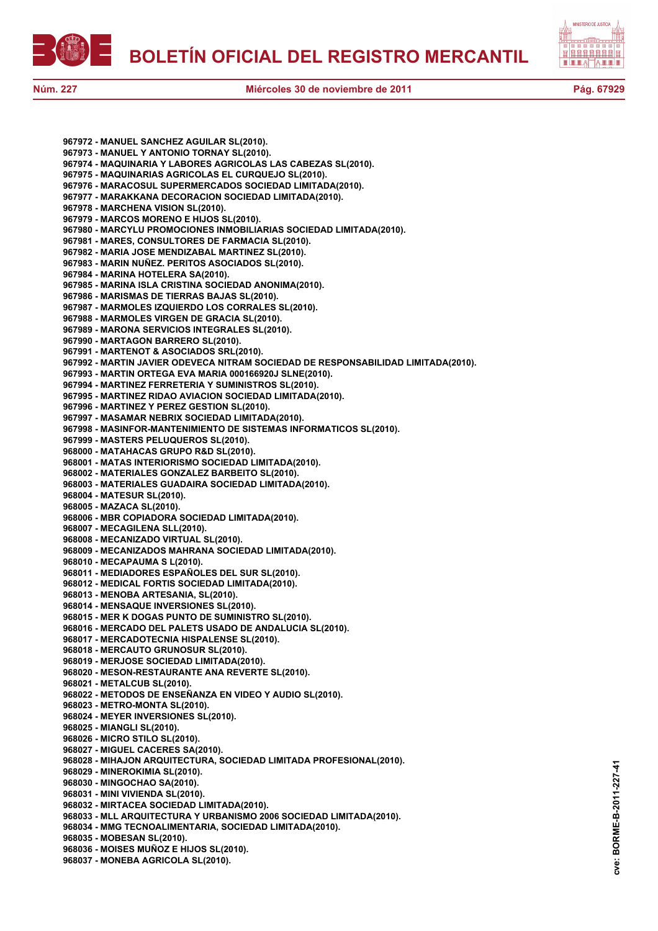



**967972 - MANUEL SANCHEZ AGUILAR SL(2010). 967973 - MANUEL Y ANTONIO TORNAY SL(2010). 967974 - MAQUINARIA Y LABORES AGRICOLAS LAS CABEZAS SL(2010). 967975 - MAQUINARIAS AGRICOLAS EL CURQUEJO SL(2010). 967976 - MARACOSUL SUPERMERCADOS SOCIEDAD LIMITADA(2010). 967977 - MARAKKANA DECORACION SOCIEDAD LIMITADA(2010). 967978 - MARCHENA VISION SL(2010). 967979 - MARCOS MORENO E HIJOS SL(2010). 967980 - MARCYLU PROMOCIONES INMOBILIARIAS SOCIEDAD LIMITADA(2010). 967981 - MARES, CONSULTORES DE FARMACIA SL(2010). 967982 - MARIA JOSE MENDIZABAL MARTINEZ SL(2010). 967983 - MARIN NUÑEZ. PERITOS ASOCIADOS SL(2010). 967984 - MARINA HOTELERA SA(2010). 967985 - MARINA ISLA CRISTINA SOCIEDAD ANONIMA(2010). 967986 - MARISMAS DE TIERRAS BAJAS SL(2010). 967987 - MARMOLES IZQUIERDO LOS CORRALES SL(2010). 967988 - MARMOLES VIRGEN DE GRACIA SL(2010). 967989 - MARONA SERVICIOS INTEGRALES SL(2010). 967990 - MARTAGON BARRERO SL(2010). 967991 - MARTENOT & ASOCIADOS SRL(2010). 967992 - MARTIN JAVIER ODEVECA NITRAM SOCIEDAD DE RESPONSABILIDAD LIMITADA(2010). 967993 - MARTIN ORTEGA EVA MARIA 000166920J SLNE(2010). 967994 - MARTINEZ FERRETERIA Y SUMINISTROS SL(2010). 967995 - MARTINEZ RIDAO AVIACION SOCIEDAD LIMITADA(2010). 967996 - MARTINEZ Y PEREZ GESTION SL(2010). 967997 - MASAMAR NEBRIX SOCIEDAD LIMITADA(2010). 967998 - MASINFOR-MANTENIMIENTO DE SISTEMAS INFORMATICOS SL(2010). 967999 - MASTERS PELUQUEROS SL(2010). 968000 - MATAHACAS GRUPO R&D SL(2010). 968001 - MATAS INTERIORISMO SOCIEDAD LIMITADA(2010). 968002 - MATERIALES GONZALEZ BARBEITO SL(2010). 968003 - MATERIALES GUADAIRA SOCIEDAD LIMITADA(2010). 968004 - MATESUR SL(2010). 968005 - MAZACA SL(2010). 968006 - MBR COPIADORA SOCIEDAD LIMITADA(2010). 968007 - MECAGILENA SLL(2010). 968008 - MECANIZADO VIRTUAL SL(2010). 968009 - MECANIZADOS MAHRANA SOCIEDAD LIMITADA(2010). 968010 - MECAPAUMA S L(2010). 968011 - MEDIADORES ESPAÑOLES DEL SUR SL(2010). 968012 - MEDICAL FORTIS SOCIEDAD LIMITADA(2010). 968013 - MENOBA ARTESANIA, SL(2010). 968014 - MENSAQUE INVERSIONES SL(2010). 968015 - MER K DOGAS PUNTO DE SUMINISTRO SL(2010). 968016 - MERCADO DEL PALETS USADO DE ANDALUCIA SL(2010). 968017 - MERCADOTECNIA HISPALENSE SL(2010). 968018 - MERCAUTO GRUNOSUR SL(2010). 968019 - MERJOSE SOCIEDAD LIMITADA(2010). 968020 - MESON-RESTAURANTE ANA REVERTE SL(2010). 968021 - METALCUB SL(2010). 968022 - METODOS DE ENSEÑANZA EN VIDEO Y AUDIO SL(2010). 968023 - METRO-MONTA SL(2010). 968024 - MEYER INVERSIONES SL(2010). 968025 - MIANGLI SL(2010). 968026 - MICRO STILO SL(2010). 968027 - MIGUEL CACERES SA(2010). 968028 - MIHAJON ARQUITECTURA, SOCIEDAD LIMITADA PROFESIONAL(2010). 968029 - MINEROKIMIA SL(2010). 968030 - MINGOCHAO SA(2010). 968031 - MINI VIVIENDA SL(2010). 968032 - MIRTACEA SOCIEDAD LIMITADA(2010). 968033 - MLL ARQUITECTURA Y URBANISMO 2006 SOCIEDAD LIMITADA(2010). 968034 - MMG TECNOALIMENTARIA, SOCIEDAD LIMITADA(2010). 968035 - MOBESAN SL(2010). 968036 - MOISES MUÑOZ E HIJOS SL(2010). 968037 - MONEBA AGRICOLA SL(2010).**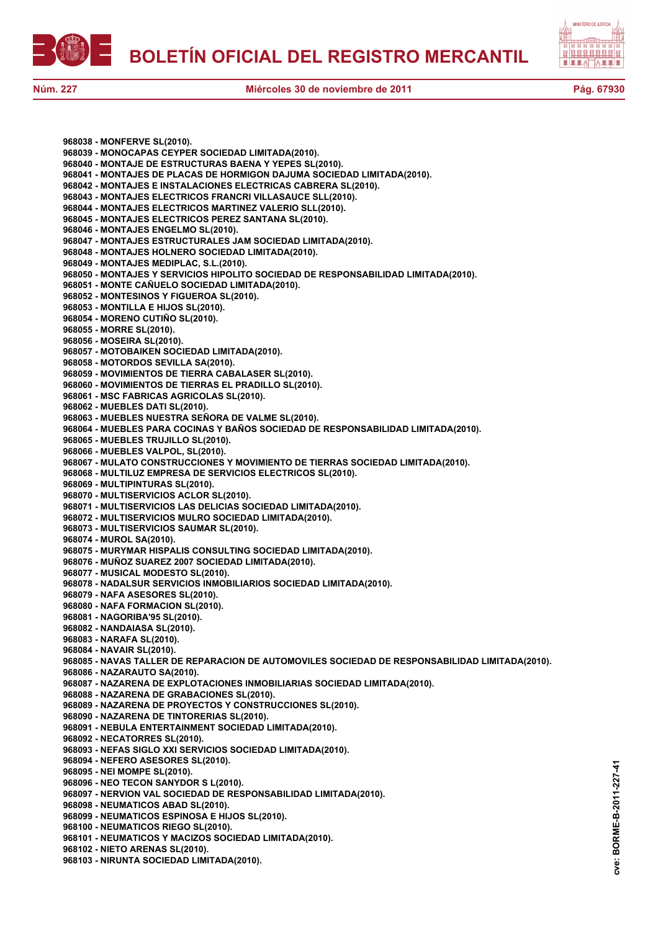

**968038 - MONFERVE SL(2010).**

**968046 - MONTAJES ENGELMO SL(2010).**

**968039 - MONOCAPAS CEYPER SOCIEDAD LIMITADA(2010). 968040 - MONTAJE DE ESTRUCTURAS BAENA Y YEPES SL(2010).**



**Núm. 227 Miércoles 30 de noviembre de 2011 Pág. 67930**

**968041 - MONTAJES DE PLACAS DE HORMIGON DAJUMA SOCIEDAD LIMITADA(2010).**

**968042 - MONTAJES E INSTALACIONES ELECTRICAS CABRERA SL(2010). 968043 - MONTAJES ELECTRICOS FRANCRI VILLASAUCE SLL(2010). 968044 - MONTAJES ELECTRICOS MARTINEZ VALERIO SLL(2010). 968045 - MONTAJES ELECTRICOS PEREZ SANTANA SL(2010).**

**968047 - MONTAJES ESTRUCTURALES JAM SOCIEDAD LIMITADA(2010). 968048 - MONTAJES HOLNERO SOCIEDAD LIMITADA(2010). 968049 - MONTAJES MEDIPLAC, S.L.(2010). 968050 - MONTAJES Y SERVICIOS HIPOLITO SOCIEDAD DE RESPONSABILIDAD LIMITADA(2010). 968051 - MONTE CAÑUELO SOCIEDAD LIMITADA(2010). 968052 - MONTESINOS Y FIGUEROA SL(2010). 968053 - MONTILLA E HIJOS SL(2010). 968054 - MORENO CUTIÑO SL(2010). 968055 - MORRE SL(2010). 968056 - MOSEIRA SL(2010). 968057 - MOTOBAIKEN SOCIEDAD LIMITADA(2010). 968058 - MOTORDOS SEVILLA SA(2010). 968059 - MOVIMIENTOS DE TIERRA CABALASER SL(2010). 968060 - MOVIMIENTOS DE TIERRAS EL PRADILLO SL(2010). 968061 - MSC FABRICAS AGRICOLAS SL(2010). 968062 - MUEBLES DATI SL(2010). 968063 - MUEBLES NUESTRA SEÑORA DE VALME SL(2010). 968064 - MUEBLES PARA COCINAS Y BAÑOS SOCIEDAD DE RESPONSABILIDAD LIMITADA(2010). 968065 - MUEBLES TRUJILLO SL(2010). 968066 - MUEBLES VALPOL, SL(2010). 968067 - MULATO CONSTRUCCIONES Y MOVIMIENTO DE TIERRAS SOCIEDAD LIMITADA(2010). 968068 - MULTILUZ EMPRESA DE SERVICIOS ELECTRICOS SL(2010). 968069 - MULTIPINTURAS SL(2010). 968070 - MULTISERVICIOS ACLOR SL(2010). 968071 - MULTISERVICIOS LAS DELICIAS SOCIEDAD LIMITADA(2010). 968072 - MULTISERVICIOS MULRO SOCIEDAD LIMITADA(2010). 968073 - MULTISERVICIOS SAUMAR SL(2010). 968074 - MUROL SA(2010). 968075 - MURYMAR HISPALIS CONSULTING SOCIEDAD LIMITADA(2010). 968076 - MUÑOZ SUAREZ 2007 SOCIEDAD LIMITADA(2010). 968077 - MUSICAL MODESTO SL(2010). 968078 - NADALSUR SERVICIOS INMOBILIARIOS SOCIEDAD LIMITADA(2010). 968079 - NAFA ASESORES SL(2010). 968080 - NAFA FORMACION SL(2010). 968081 - NAGORIBA'95 SL(2010). 968082 - NANDAIASA SL(2010). 968083 - NARAFA SL(2010). 968084 - NAVAIR SL(2010). 968085 - NAVAS TALLER DE REPARACION DE AUTOMOVILES SOCIEDAD DE RESPONSABILIDAD LIMITADA(2010). 968086 - NAZARAUTO SA(2010). 968087 - NAZARENA DE EXPLOTACIONES INMOBILIARIAS SOCIEDAD LIMITADA(2010). 968088 - NAZARENA DE GRABACIONES SL(2010). 968089 - NAZARENA DE PROYECTOS Y CONSTRUCCIONES SL(2010). 968090 - NAZARENA DE TINTORERIAS SL(2010). 968091 - NEBULA ENTERTAINMENT SOCIEDAD LIMITADA(2010). 968092 - NECATORRES SL(2010). 968093 - NEFAS SIGLO XXI SERVICIOS SOCIEDAD LIMITADA(2010). 968094 - NEFERO ASESORES SL(2010). 968095 - NEI MOMPE SL(2010). 968096 - NEO TECON SANYDOR S L(2010). 968097 - NERVION VAL SOCIEDAD DE RESPONSABILIDAD LIMITADA(2010). 968098 - NEUMATICOS ABAD SL(2010). 968099 - NEUMATICOS ESPINOSA E HIJOS SL(2010). 968100 - NEUMATICOS RIEGO SL(2010). 968101 - NEUMATICOS Y MACIZOS SOCIEDAD LIMITADA(2010). 968102 - NIETO ARENAS SL(2010). 968103 - NIRUNTA SOCIEDAD LIMITADA(2010).**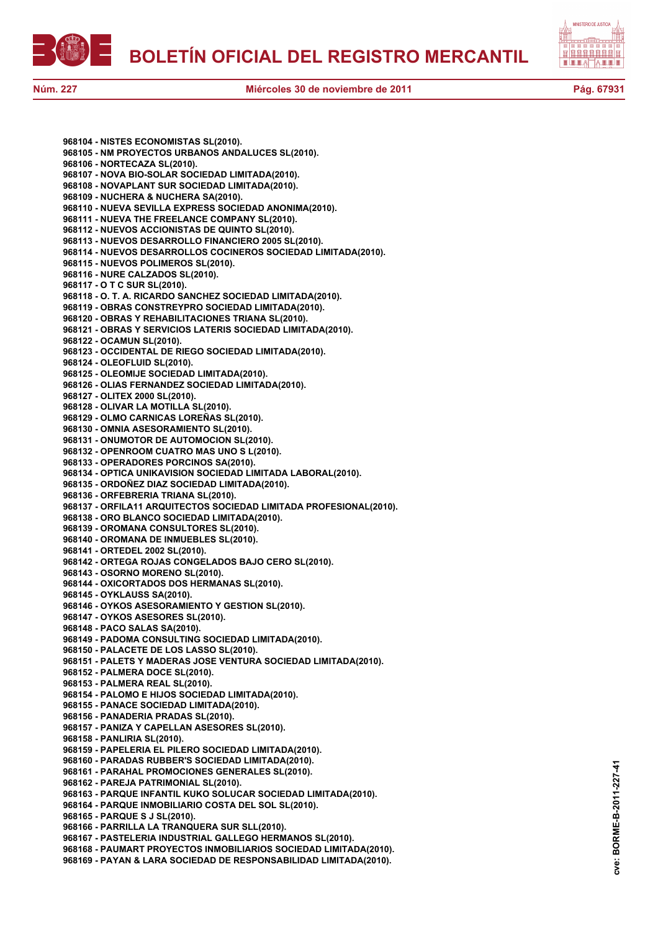



**968104 - NISTES ECONOMISTAS SL(2010). 968105 - NM PROYECTOS URBANOS ANDALUCES SL(2010). 968106 - NORTECAZA SL(2010). 968107 - NOVA BIO-SOLAR SOCIEDAD LIMITADA(2010). 968108 - NOVAPLANT SUR SOCIEDAD LIMITADA(2010). 968109 - NUCHERA & NUCHERA SA(2010). 968110 - NUEVA SEVILLA EXPRESS SOCIEDAD ANONIMA(2010). 968111 - NUEVA THE FREELANCE COMPANY SL(2010). 968112 - NUEVOS ACCIONISTAS DE QUINTO SL(2010). 968113 - NUEVOS DESARROLLO FINANCIERO 2005 SL(2010). 968114 - NUEVOS DESARROLLOS COCINEROS SOCIEDAD LIMITADA(2010). 968115 - NUEVOS POLIMEROS SL(2010). 968116 - NURE CALZADOS SL(2010). 968117 - O T C SUR SL(2010). 968118 - O. T. A. RICARDO SANCHEZ SOCIEDAD LIMITADA(2010). 968119 - OBRAS CONSTREYPRO SOCIEDAD LIMITADA(2010). 968120 - OBRAS Y REHABILITACIONES TRIANA SL(2010). 968121 - OBRAS Y SERVICIOS LATERIS SOCIEDAD LIMITADA(2010). 968122 - OCAMUN SL(2010). 968123 - OCCIDENTAL DE RIEGO SOCIEDAD LIMITADA(2010). 968124 - OLEOFLUID SL(2010). 968125 - OLEOMIJE SOCIEDAD LIMITADA(2010). 968126 - OLIAS FERNANDEZ SOCIEDAD LIMITADA(2010). 968127 - OLITEX 2000 SL(2010). 968128 - OLIVAR LA MOTILLA SL(2010). 968129 - OLMO CARNICAS LOREÑAS SL(2010). 968130 - OMNIA ASESORAMIENTO SL(2010). 968131 - ONUMOTOR DE AUTOMOCION SL(2010). 968132 - OPENROOM CUATRO MAS UNO S L(2010). 968133 - OPERADORES PORCINOS SA(2010). 968134 - OPTICA UNIKAVISION SOCIEDAD LIMITADA LABORAL(2010). 968135 - ORDOÑEZ DIAZ SOCIEDAD LIMITADA(2010). 968136 - ORFEBRERIA TRIANA SL(2010). 968137 - ORFILA11 ARQUITECTOS SOCIEDAD LIMITADA PROFESIONAL(2010). 968138 - ORO BLANCO SOCIEDAD LIMITADA(2010). 968139 - OROMANA CONSULTORES SL(2010). 968140 - OROMANA DE INMUEBLES SL(2010). 968141 - ORTEDEL 2002 SL(2010). 968142 - ORTEGA ROJAS CONGELADOS BAJO CERO SL(2010). 968143 - OSORNO MORENO SL(2010). 968144 - OXICORTADOS DOS HERMANAS SL(2010). 968145 - OYKLAUSS SA(2010). 968146 - OYKOS ASESORAMIENTO Y GESTION SL(2010). 968147 - OYKOS ASESORES SL(2010). 968148 - PACO SALAS SA(2010). 968149 - PADOMA CONSULTING SOCIEDAD LIMITADA(2010). 968150 - PALACETE DE LOS LASSO SL(2010). 968151 - PALETS Y MADERAS JOSE VENTURA SOCIEDAD LIMITADA(2010). 968152 - PALMERA DOCE SL(2010). 968153 - PALMERA REAL SL(2010). 968154 - PALOMO E HIJOS SOCIEDAD LIMITADA(2010). 968155 - PANACE SOCIEDAD LIMITADA(2010). 968156 - PANADERIA PRADAS SL(2010). 968157 - PANIZA Y CAPELLAN ASESORES SL(2010). 968158 - PANLIRIA SL(2010). 968159 - PAPELERIA EL PILERO SOCIEDAD LIMITADA(2010). 968160 - PARADAS RUBBER'S SOCIEDAD LIMITADA(2010). 968161 - PARAHAL PROMOCIONES GENERALES SL(2010). 968162 - PAREJA PATRIMONIAL SL(2010). 968163 - PARQUE INFANTIL KUKO SOLUCAR SOCIEDAD LIMITADA(2010). 968164 - PARQUE INMOBILIARIO COSTA DEL SOL SL(2010). 968165 - PARQUE S J SL(2010). 968166 - PARRILLA LA TRANQUERA SUR SLL(2010). 968167 - PASTELERIA INDUSTRIAL GALLEGO HERMANOS SL(2010). 968168 - PAUMART PROYECTOS INMOBILIARIOS SOCIEDAD LIMITADA(2010). 968169 - PAYAN & LARA SOCIEDAD DE RESPONSABILIDAD LIMITADA(2010).**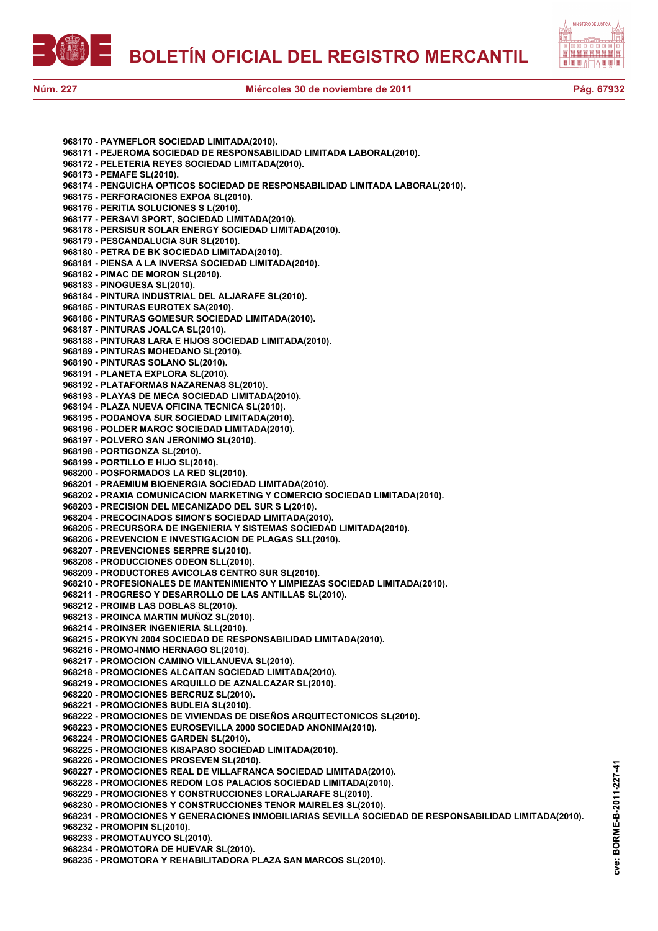



**968170 - PAYMEFLOR SOCIEDAD LIMITADA(2010). 968171 - PEJEROMA SOCIEDAD DE RESPONSABILIDAD LIMITADA LABORAL(2010). 968172 - PELETERIA REYES SOCIEDAD LIMITADA(2010). 968173 - PEMAFE SL(2010). 968174 - PENGUICHA OPTICOS SOCIEDAD DE RESPONSABILIDAD LIMITADA LABORAL(2010). 968175 - PERFORACIONES EXPOA SL(2010). 968176 - PERITIA SOLUCIONES S L(2010). 968177 - PERSAVI SPORT, SOCIEDAD LIMITADA(2010). 968178 - PERSISUR SOLAR ENERGY SOCIEDAD LIMITADA(2010). 968179 - PESCANDALUCIA SUR SL(2010). 968180 - PETRA DE BK SOCIEDAD LIMITADA(2010). 968181 - PIENSA A LA INVERSA SOCIEDAD LIMITADA(2010). 968182 - PIMAC DE MORON SL(2010). 968183 - PINOGUESA SL(2010). 968184 - PINTURA INDUSTRIAL DEL ALJARAFE SL(2010). 968185 - PINTURAS EUROTEX SA(2010). 968186 - PINTURAS GOMESUR SOCIEDAD LIMITADA(2010). 968187 - PINTURAS JOALCA SL(2010). 968188 - PINTURAS LARA E HIJOS SOCIEDAD LIMITADA(2010). 968189 - PINTURAS MOHEDANO SL(2010). 968190 - PINTURAS SOLANO SL(2010). 968191 - PLANETA EXPLORA SL(2010). 968192 - PLATAFORMAS NAZARENAS SL(2010). 968193 - PLAYAS DE MECA SOCIEDAD LIMITADA(2010). 968194 - PLAZA NUEVA OFICINA TECNICA SL(2010). 968195 - PODANOVA SUR SOCIEDAD LIMITADA(2010). 968196 - POLDER MAROC SOCIEDAD LIMITADA(2010). 968197 - POLVERO SAN JERONIMO SL(2010). 968198 - PORTIGONZA SL(2010). 968199 - PORTILLO E HIJO SL(2010). 968200 - POSFORMADOS LA RED SL(2010). 968201 - PRAEMIUM BIOENERGIA SOCIEDAD LIMITADA(2010). 968202 - PRAXIA COMUNICACION MARKETING Y COMERCIO SOCIEDAD LIMITADA(2010). 968203 - PRECISION DEL MECANIZADO DEL SUR S L(2010). 968204 - PRECOCINADOS SIMON'S SOCIEDAD LIMITADA(2010). 968205 - PRECURSORA DE INGENIERIA Y SISTEMAS SOCIEDAD LIMITADA(2010). 968206 - PREVENCION E INVESTIGACION DE PLAGAS SLL(2010). 968207 - PREVENCIONES SERPRE SL(2010). 968208 - PRODUCCIONES ODEON SLL(2010). 968209 - PRODUCTORES AVICOLAS CENTRO SUR SL(2010). 968210 - PROFESIONALES DE MANTENIMIENTO Y LIMPIEZAS SOCIEDAD LIMITADA(2010). 968211 - PROGRESO Y DESARROLLO DE LAS ANTILLAS SL(2010). 968212 - PROIMB LAS DOBLAS SL(2010). 968213 - PROINCA MARTIN MUÑOZ SL(2010). 968214 - PROINSER INGENIERIA SLL(2010). 968215 - PROKYN 2004 SOCIEDAD DE RESPONSABILIDAD LIMITADA(2010). 968216 - PROMO-INMO HERNAGO SL(2010). 968217 - PROMOCION CAMINO VILLANUEVA SL(2010). 968218 - PROMOCIONES ALCAITAN SOCIEDAD LIMITADA(2010). 968219 - PROMOCIONES ARQUILLO DE AZNALCAZAR SL(2010). 968220 - PROMOCIONES BERCRUZ SL(2010). 968221 - PROMOCIONES BUDLEIA SL(2010). 968222 - PROMOCIONES DE VIVIENDAS DE DISEÑOS ARQUITECTONICOS SL(2010). 968223 - PROMOCIONES EUROSEVILLA 2000 SOCIEDAD ANONIMA(2010). 968224 - PROMOCIONES GARDEN SL(2010). 968225 - PROMOCIONES KISAPASO SOCIEDAD LIMITADA(2010). 968226 - PROMOCIONES PROSEVEN SL(2010). 968227 - PROMOCIONES REAL DE VILLAFRANCA SOCIEDAD LIMITADA(2010). 968228 - PROMOCIONES REDOM LOS PALACIOS SOCIEDAD LIMITADA(2010). 968229 - PROMOCIONES Y CONSTRUCCIONES LORALJARAFE SL(2010). 968230 - PROMOCIONES Y CONSTRUCCIONES TENOR MAIRELES SL(2010). 968231 - PROMOCIONES Y GENERACIONES INMOBILIARIAS SEVILLA SOCIEDAD DE RESPONSABILIDAD LIMITADA(2010). 968232 - PROMOPIN SL(2010). 968233 - PROMOTAUYCO SL(2010).**

**968234 - PROMOTORA DE HUEVAR SL(2010).**

**968235 - PROMOTORA Y REHABILITADORA PLAZA SAN MARCOS SL(2010).**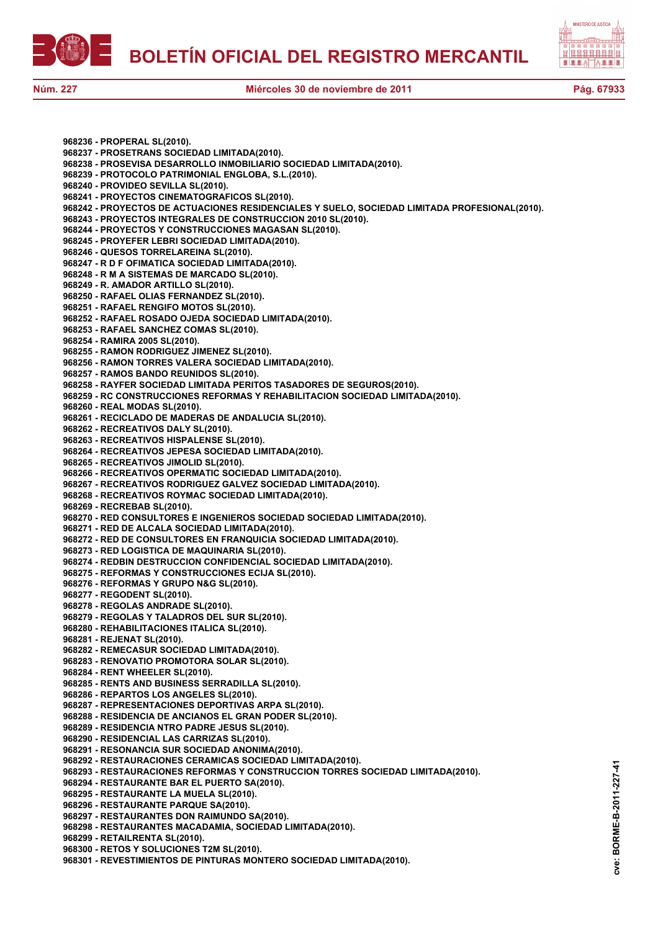



**968236 - PROPERAL SL(2010). 968237 - PROSETRANS SOCIEDAD LIMITADA(2010). 968238 - PROSEVISA DESARROLLO INMOBILIARIO SOCIEDAD LIMITADA(2010). 968239 - PROTOCOLO PATRIMONIAL ENGLOBA, S.L.(2010). 968240 - PROVIDEO SEVILLA SL(2010). 968241 - PROYECTOS CINEMATOGRAFICOS SL(2010). 968242 - PROYECTOS DE ACTUACIONES RESIDENCIALES Y SUELO, SOCIEDAD LIMITADA PROFESIONAL(2010). 968243 - PROYECTOS INTEGRALES DE CONSTRUCCION 2010 SL(2010). 968244 - PROYECTOS Y CONSTRUCCIONES MAGASAN SL(2010). 968245 - PROYEFER LEBRI SOCIEDAD LIMITADA(2010). 968246 - QUESOS TORRELAREINA SL(2010). 968247 - R D F OFIMATICA SOCIEDAD LIMITADA(2010). 968248 - R M A SISTEMAS DE MARCADO SL(2010). 968249 - R. AMADOR ARTILLO SL(2010). 968250 - RAFAEL OLIAS FERNANDEZ SL(2010). 968251 - RAFAEL RENGIFO MOTOS SL(2010). 968252 - RAFAEL ROSADO OJEDA SOCIEDAD LIMITADA(2010). 968253 - RAFAEL SANCHEZ COMAS SL(2010). 968254 - RAMIRA 2005 SL(2010). 968255 - RAMON RODRIGUEZ JIMENEZ SL(2010). 968256 - RAMON TORRES VALERA SOCIEDAD LIMITADA(2010). 968257 - RAMOS BANDO REUNIDOS SL(2010). 968258 - RAYFER SOCIEDAD LIMITADA PERITOS TASADORES DE SEGUROS(2010). 968259 - RC CONSTRUCCIONES REFORMAS Y REHABILITACION SOCIEDAD LIMITADA(2010). 968260 - REAL MODAS SL(2010). 968261 - RECICLADO DE MADERAS DE ANDALUCIA SL(2010). 968262 - RECREATIVOS DALY SL(2010). 968263 - RECREATIVOS HISPALENSE SL(2010). 968264 - RECREATIVOS JEPESA SOCIEDAD LIMITADA(2010). 968265 - RECREATIVOS JIMOLID SL(2010). 968266 - RECREATIVOS OPERMATIC SOCIEDAD LIMITADA(2010). 968267 - RECREATIVOS RODRIGUEZ GALVEZ SOCIEDAD LIMITADA(2010). 968268 - RECREATIVOS ROYMAC SOCIEDAD LIMITADA(2010). 968269 - RECREBAB SL(2010). 968270 - RED CONSULTORES E INGENIEROS SOCIEDAD SOCIEDAD LIMITADA(2010). 968271 - RED DE ALCALA SOCIEDAD LIMITADA(2010). 968272 - RED DE CONSULTORES EN FRANQUICIA SOCIEDAD LIMITADA(2010). 968273 - RED LOGISTICA DE MAQUINARIA SL(2010). 968274 - REDBIN DESTRUCCION CONFIDENCIAL SOCIEDAD LIMITADA(2010). 968275 - REFORMAS Y CONSTRUCCIONES ECIJA SL(2010). 968276 - REFORMAS Y GRUPO N&G SL(2010). 968277 - REGODENT SL(2010). 968278 - REGOLAS ANDRADE SL(2010). 968279 - REGOLAS Y TALADROS DEL SUR SL(2010). 968280 - REHABILITACIONES ITALICA SL(2010). 968281 - REJENAT SL(2010). 968282 - REMECASUR SOCIEDAD LIMITADA(2010). 968283 - RENOVATIO PROMOTORA SOLAR SL(2010). 968284 - RENT WHEELER SL(2010). 968285 - RENTS AND BUSINESS SERRADILLA SL(2010). 968286 - REPARTOS LOS ANGELES SL(2010). 968287 - REPRESENTACIONES DEPORTIVAS ARPA SL(2010). 968288 - RESIDENCIA DE ANCIANOS EL GRAN PODER SL(2010). 968289 - RESIDENCIA NTRO PADRE JESUS SL(2010). 968290 - RESIDENCIAL LAS CARRIZAS SL(2010). 968291 - RESONANCIA SUR SOCIEDAD ANONIMA(2010). 968292 - RESTAURACIONES CERAMICAS SOCIEDAD LIMITADA(2010). 968293 - RESTAURACIONES REFORMAS Y CONSTRUCCION TORRES SOCIEDAD LIMITADA(2010). 968294 - RESTAURANTE BAR EL PUERTO SA(2010). 968295 - RESTAURANTE LA MUELA SL(2010). 968296 - RESTAURANTE PARQUE SA(2010). 968297 - RESTAURANTES DON RAIMUNDO SA(2010). 968298 - RESTAURANTES MACADAMIA, SOCIEDAD LIMITADA(2010). 968299 - RETAILRENTA SL(2010). 968300 - RETOS Y SOLUCIONES T2M SL(2010).**

**968301 - REVESTIMIENTOS DE PINTURAS MONTERO SOCIEDAD LIMITADA(2010).**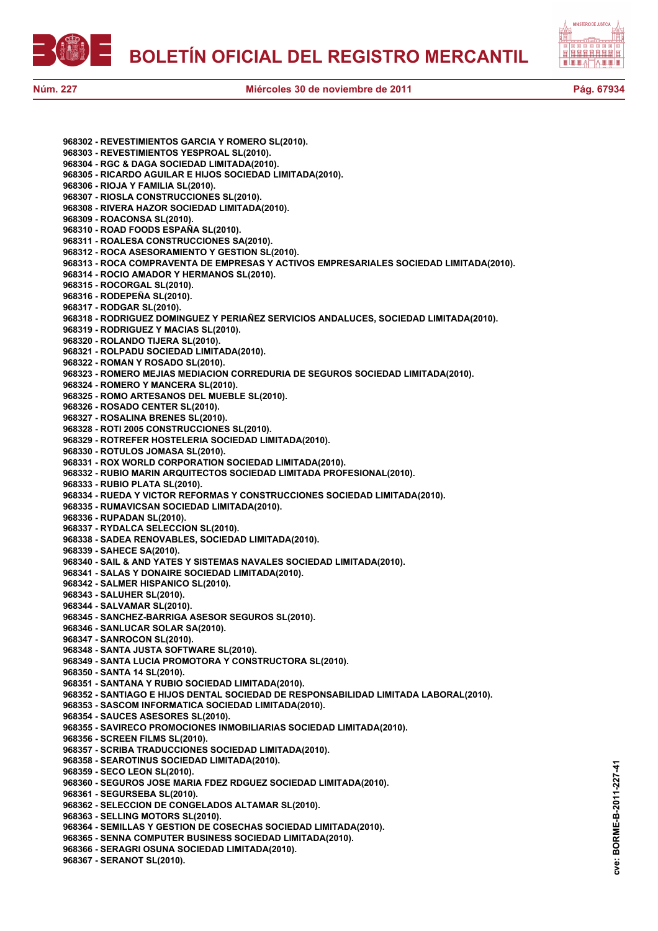



**968302 - REVESTIMIENTOS GARCIA Y ROMERO SL(2010). 968303 - REVESTIMIENTOS YESPROAL SL(2010). 968304 - RGC & DAGA SOCIEDAD LIMITADA(2010). 968305 - RICARDO AGUILAR E HIJOS SOCIEDAD LIMITADA(2010). 968306 - RIOJA Y FAMILIA SL(2010). 968307 - RIOSLA CONSTRUCCIONES SL(2010). 968308 - RIVERA HAZOR SOCIEDAD LIMITADA(2010). 968309 - ROACONSA SL(2010). 968310 - ROAD FOODS ESPAÑA SL(2010). 968311 - ROALESA CONSTRUCCIONES SA(2010). 968312 - ROCA ASESORAMIENTO Y GESTION SL(2010). 968313 - ROCA COMPRAVENTA DE EMPRESAS Y ACTIVOS EMPRESARIALES SOCIEDAD LIMITADA(2010). 968314 - ROCIO AMADOR Y HERMANOS SL(2010). 968315 - ROCORGAL SL(2010). 968316 - RODEPEÑA SL(2010). 968317 - RODGAR SL(2010). 968318 - RODRIGUEZ DOMINGUEZ Y PERIAÑEZ SERVICIOS ANDALUCES, SOCIEDAD LIMITADA(2010). 968319 - RODRIGUEZ Y MACIAS SL(2010). 968320 - ROLANDO TIJERA SL(2010). 968321 - ROLPADU SOCIEDAD LIMITADA(2010). 968322 - ROMAN Y ROSADO SL(2010). 968323 - ROMERO MEJIAS MEDIACION CORREDURIA DE SEGUROS SOCIEDAD LIMITADA(2010). 968324 - ROMERO Y MANCERA SL(2010). 968325 - ROMO ARTESANOS DEL MUEBLE SL(2010). 968326 - ROSADO CENTER SL(2010). 968327 - ROSALINA BRENES SL(2010). 968328 - ROTI 2005 CONSTRUCCIONES SL(2010). 968329 - ROTREFER HOSTELERIA SOCIEDAD LIMITADA(2010). 968330 - ROTULOS JOMASA SL(2010). 968331 - ROX WORLD CORPORATION SOCIEDAD LIMITADA(2010). 968332 - RUBIO MARIN ARQUITECTOS SOCIEDAD LIMITADA PROFESIONAL(2010). 968333 - RUBIO PLATA SL(2010). 968334 - RUEDA Y VICTOR REFORMAS Y CONSTRUCCIONES SOCIEDAD LIMITADA(2010). 968335 - RUMAVICSAN SOCIEDAD LIMITADA(2010). 968336 - RUPADAN SL(2010). 968337 - RYDALCA SELECCION SL(2010). 968338 - SADEA RENOVABLES, SOCIEDAD LIMITADA(2010). 968339 - SAHECE SA(2010). 968340 - SAIL & AND YATES Y SISTEMAS NAVALES SOCIEDAD LIMITADA(2010). 968341 - SALAS Y DONAIRE SOCIEDAD LIMITADA(2010). 968342 - SALMER HISPANICO SL(2010). 968343 - SALUHER SL(2010). 968344 - SALVAMAR SL(2010). 968345 - SANCHEZ-BARRIGA ASESOR SEGUROS SL(2010). 968346 - SANLUCAR SOLAR SA(2010). 968347 - SANROCON SL(2010). 968348 - SANTA JUSTA SOFTWARE SL(2010). 968349 - SANTA LUCIA PROMOTORA Y CONSTRUCTORA SL(2010). 968350 - SANTA 14 SL(2010). 968351 - SANTANA Y RUBIO SOCIEDAD LIMITADA(2010). 968352 - SANTIAGO E HIJOS DENTAL SOCIEDAD DE RESPONSABILIDAD LIMITADA LABORAL(2010). 968353 - SASCOM INFORMATICA SOCIEDAD LIMITADA(2010). 968354 - SAUCES ASESORES SL(2010). 968355 - SAVIRECO PROMOCIONES INMOBILIARIAS SOCIEDAD LIMITADA(2010). 968356 - SCREEN FILMS SL(2010). 968357 - SCRIBA TRADUCCIONES SOCIEDAD LIMITADA(2010). 968358 - SEAROTINUS SOCIEDAD LIMITADA(2010). 968359 - SECO LEON SL(2010). 968360 - SEGUROS JOSE MARIA FDEZ RDGUEZ SOCIEDAD LIMITADA(2010). 968361 - SEGURSEBA SL(2010). 968362 - SELECCION DE CONGELADOS ALTAMAR SL(2010). 968363 - SELLING MOTORS SL(2010). 968364 - SEMILLAS Y GESTION DE COSECHAS SOCIEDAD LIMITADA(2010). 968365 - SENNA COMPUTER BUSINESS SOCIEDAD LIMITADA(2010). 968366 - SERAGRI OSUNA SOCIEDAD LIMITADA(2010). 968367 - SERANOT SL(2010).**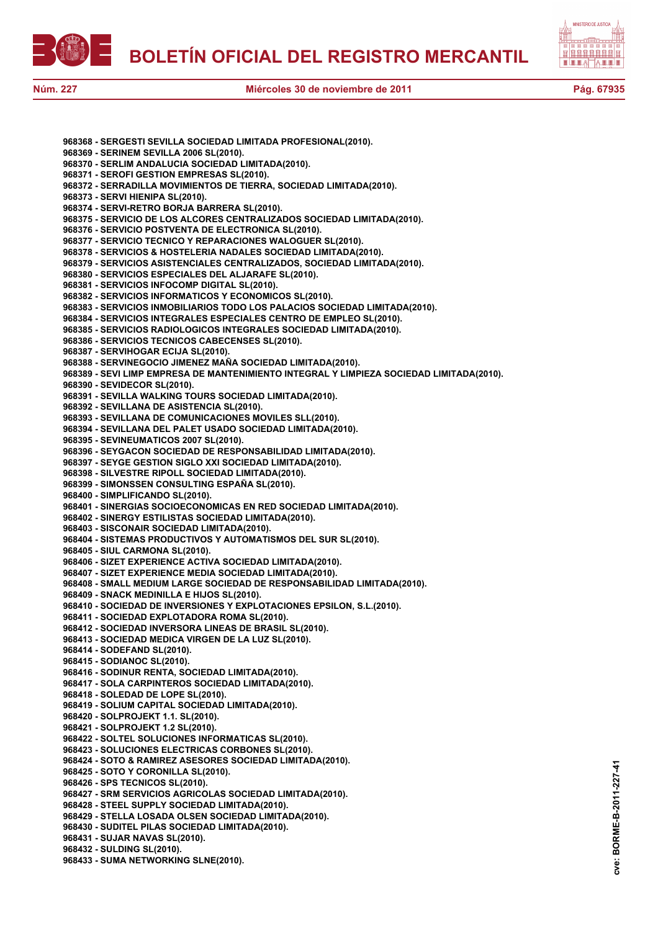

**cve: BORME-B-2011-227-41**

cve:

BORME-B-2011-227-41

**968368 - SERGESTI SEVILLA SOCIEDAD LIMITADA PROFESIONAL(2010). 968369 - SERINEM SEVILLA 2006 SL(2010). 968370 - SERLIM ANDALUCIA SOCIEDAD LIMITADA(2010). 968371 - SEROFI GESTION EMPRESAS SL(2010). 968372 - SERRADILLA MOVIMIENTOS DE TIERRA, SOCIEDAD LIMITADA(2010). 968373 - SERVI HIENIPA SL(2010). 968374 - SERVI-RETRO BORJA BARRERA SL(2010). 968375 - SERVICIO DE LOS ALCORES CENTRALIZADOS SOCIEDAD LIMITADA(2010). 968376 - SERVICIO POSTVENTA DE ELECTRONICA SL(2010). 968377 - SERVICIO TECNICO Y REPARACIONES WALOGUER SL(2010). 968378 - SERVICIOS & HOSTELERIA NADALES SOCIEDAD LIMITADA(2010). 968379 - SERVICIOS ASISTENCIALES CENTRALIZADOS, SOCIEDAD LIMITADA(2010). 968380 - SERVICIOS ESPECIALES DEL ALJARAFE SL(2010). 968381 - SERVICIOS INFOCOMP DIGITAL SL(2010). 968382 - SERVICIOS INFORMATICOS Y ECONOMICOS SL(2010). 968383 - SERVICIOS INMOBILIARIOS TODO LOS PALACIOS SOCIEDAD LIMITADA(2010). 968384 - SERVICIOS INTEGRALES ESPECIALES CENTRO DE EMPLEO SL(2010). 968385 - SERVICIOS RADIOLOGICOS INTEGRALES SOCIEDAD LIMITADA(2010). 968386 - SERVICIOS TECNICOS CABECENSES SL(2010). 968387 - SERVIHOGAR ECIJA SL(2010). 968388 - SERVINEGOCIO JIMENEZ MAÑA SOCIEDAD LIMITADA(2010). 968389 - SEVI LIMP EMPRESA DE MANTENIMIENTO INTEGRAL Y LIMPIEZA SOCIEDAD LIMITADA(2010). 968390 - SEVIDECOR SL(2010). 968391 - SEVILLA WALKING TOURS SOCIEDAD LIMITADA(2010). 968392 - SEVILLANA DE ASISTENCIA SL(2010). 968393 - SEVILLANA DE COMUNICACIONES MOVILES SLL(2010). 968394 - SEVILLANA DEL PALET USADO SOCIEDAD LIMITADA(2010). 968395 - SEVINEUMATICOS 2007 SL(2010). 968396 - SEYGACON SOCIEDAD DE RESPONSABILIDAD LIMITADA(2010). 968397 - SEYGE GESTION SIGLO XXI SOCIEDAD LIMITADA(2010). 968398 - SILVESTRE RIPOLL SOCIEDAD LIMITADA(2010). 968399 - SIMONSSEN CONSULTING ESPAÑA SL(2010). 968400 - SIMPLIFICANDO SL(2010). 968401 - SINERGIAS SOCIOECONOMICAS EN RED SOCIEDAD LIMITADA(2010). 968402 - SINERGY ESTILISTAS SOCIEDAD LIMITADA(2010). 968403 - SISCONAIR SOCIEDAD LIMITADA(2010). 968404 - SISTEMAS PRODUCTIVOS Y AUTOMATISMOS DEL SUR SL(2010). 968405 - SIUL CARMONA SL(2010). 968406 - SIZET EXPERIENCE ACTIVA SOCIEDAD LIMITADA(2010). 968407 - SIZET EXPERIENCE MEDIA SOCIEDAD LIMITADA(2010). 968408 - SMALL MEDIUM LARGE SOCIEDAD DE RESPONSABILIDAD LIMITADA(2010). 968409 - SNACK MEDINILLA E HIJOS SL(2010). 968410 - SOCIEDAD DE INVERSIONES Y EXPLOTACIONES EPSILON, S.L.(2010). 968411 - SOCIEDAD EXPLOTADORA ROMA SL(2010). 968412 - SOCIEDAD INVERSORA LINEAS DE BRASIL SL(2010). 968413 - SOCIEDAD MEDICA VIRGEN DE LA LUZ SL(2010). 968414 - SODEFAND SL(2010). 968415 - SODIANOC SL(2010). 968416 - SODINUR RENTA, SOCIEDAD LIMITADA(2010). 968417 - SOLA CARPINTEROS SOCIEDAD LIMITADA(2010). 968418 - SOLEDAD DE LOPE SL(2010). 968419 - SOLIUM CAPITAL SOCIEDAD LIMITADA(2010). 968420 - SOLPROJEKT 1.1. SL(2010). 968421 - SOLPROJEKT 1.2 SL(2010). 968422 - SOLTEL SOLUCIONES INFORMATICAS SL(2010). 968423 - SOLUCIONES ELECTRICAS CORBONES SL(2010). 968424 - SOTO & RAMIREZ ASESORES SOCIEDAD LIMITADA(2010). 968425 - SOTO Y CORONILLA SL(2010). 968426 - SPS TECNICOS SL(2010). 968427 - SRM SERVICIOS AGRICOLAS SOCIEDAD LIMITADA(2010). 968428 - STEEL SUPPLY SOCIEDAD LIMITADA(2010). 968429 - STELLA LOSADA OLSEN SOCIEDAD LIMITADA(2010). 968430 - SUDITEL PILAS SOCIEDAD LIMITADA(2010). 968431 - SUJAR NAVAS SL(2010). 968432 - SULDING SL(2010). 968433 - SUMA NETWORKING SLNE(2010).**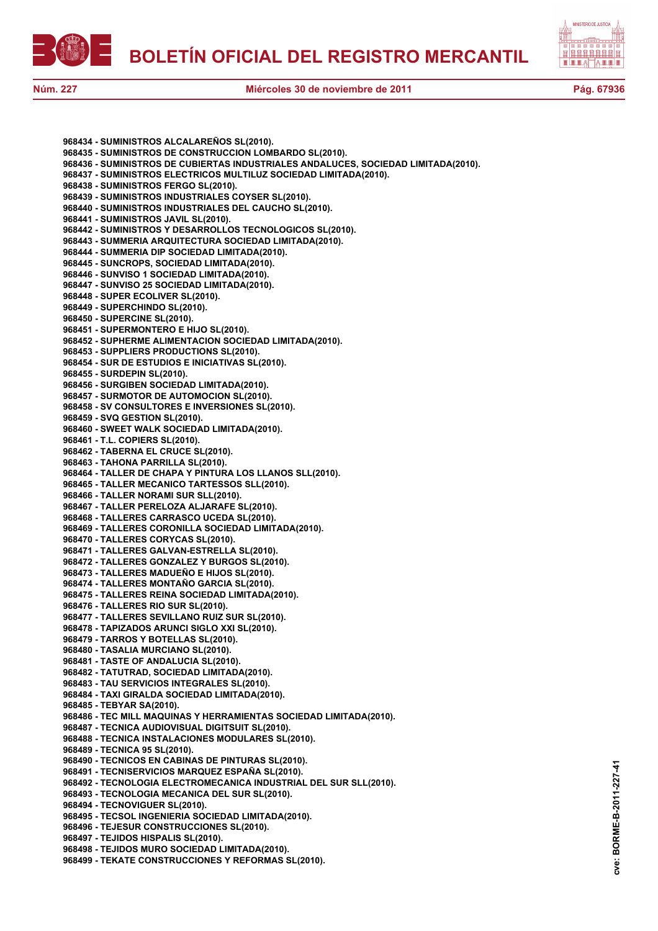



**968434 - SUMINISTROS ALCALAREÑOS SL(2010). 968435 - SUMINISTROS DE CONSTRUCCION LOMBARDO SL(2010). 968436 - SUMINISTROS DE CUBIERTAS INDUSTRIALES ANDALUCES, SOCIEDAD LIMITADA(2010). 968437 - SUMINISTROS ELECTRICOS MULTILUZ SOCIEDAD LIMITADA(2010). 968438 - SUMINISTROS FERGO SL(2010). 968439 - SUMINISTROS INDUSTRIALES COYSER SL(2010). 968440 - SUMINISTROS INDUSTRIALES DEL CAUCHO SL(2010). 968441 - SUMINISTROS JAVIL SL(2010). 968442 - SUMINISTROS Y DESARROLLOS TECNOLOGICOS SL(2010). 968443 - SUMMERIA ARQUITECTURA SOCIEDAD LIMITADA(2010). 968444 - SUMMERIA DIP SOCIEDAD LIMITADA(2010). 968445 - SUNCROPS, SOCIEDAD LIMITADA(2010). 968446 - SUNVISO 1 SOCIEDAD LIMITADA(2010). 968447 - SUNVISO 25 SOCIEDAD LIMITADA(2010). 968448 - SUPER ECOLIVER SL(2010). 968449 - SUPERCHINDO SL(2010). 968450 - SUPERCINE SL(2010). 968451 - SUPERMONTERO E HIJO SL(2010). 968452 - SUPHERME ALIMENTACION SOCIEDAD LIMITADA(2010). 968453 - SUPPLIERS PRODUCTIONS SL(2010). 968454 - SUR DE ESTUDIOS E INICIATIVAS SL(2010). 968455 - SURDEPIN SL(2010). 968456 - SURGIBEN SOCIEDAD LIMITADA(2010). 968457 - SURMOTOR DE AUTOMOCION SL(2010). 968458 - SV CONSULTORES E INVERSIONES SL(2010). 968459 - SVQ GESTION SL(2010). 968460 - SWEET WALK SOCIEDAD LIMITADA(2010). 968461 - T.L. COPIERS SL(2010). 968462 - TABERNA EL CRUCE SL(2010). 968463 - TAHONA PARRILLA SL(2010). 968464 - TALLER DE CHAPA Y PINTURA LOS LLANOS SLL(2010). 968465 - TALLER MECANICO TARTESSOS SLL(2010). 968466 - TALLER NORAMI SUR SLL(2010). 968467 - TALLER PERELOZA ALJARAFE SL(2010). 968468 - TALLERES CARRASCO UCEDA SL(2010). 968469 - TALLERES CORONILLA SOCIEDAD LIMITADA(2010). 968470 - TALLERES CORYCAS SL(2010). 968471 - TALLERES GALVAN-ESTRELLA SL(2010). 968472 - TALLERES GONZALEZ Y BURGOS SL(2010). 968473 - TALLERES MADUEÑO E HIJOS SL(2010). 968474 - TALLERES MONTAÑO GARCIA SL(2010). 968475 - TALLERES REINA SOCIEDAD LIMITADA(2010). 968476 - TALLERES RIO SUR SL(2010). 968477 - TALLERES SEVILLANO RUIZ SUR SL(2010). 968478 - TAPIZADOS ARUNCI SIGLO XXI SL(2010). 968479 - TARROS Y BOTELLAS SL(2010). 968480 - TASALIA MURCIANO SL(2010). 968481 - TASTE OF ANDALUCIA SL(2010). 968482 - TATUTRAD, SOCIEDAD LIMITADA(2010). 968483 - TAU SERVICIOS INTEGRALES SL(2010). 968484 - TAXI GIRALDA SOCIEDAD LIMITADA(2010). 968485 - TEBYAR SA(2010). 968486 - TEC MILL MAQUINAS Y HERRAMIENTAS SOCIEDAD LIMITADA(2010). 968487 - TECNICA AUDIOVISUAL DIGITSUIT SL(2010). 968488 - TECNICA INSTALACIONES MODULARES SL(2010). 968489 - TECNICA 95 SL(2010). 968490 - TECNICOS EN CABINAS DE PINTURAS SL(2010). 968491 - TECNISERVICIOS MARQUEZ ESPAÑA SL(2010). 968492 - TECNOLOGIA ELECTROMECANICA INDUSTRIAL DEL SUR SLL(2010). 968493 - TECNOLOGIA MECANICA DEL SUR SL(2010). 968494 - TECNOVIGUER SL(2010). 968495 - TECSOL INGENIERIA SOCIEDAD LIMITADA(2010). 968496 - TEJESUR CONSTRUCCIONES SL(2010). 968497 - TEJIDOS HISPALIS SL(2010). 968498 - TEJIDOS MURO SOCIEDAD LIMITADA(2010). 968499 - TEKATE CONSTRUCCIONES Y REFORMAS SL(2010).**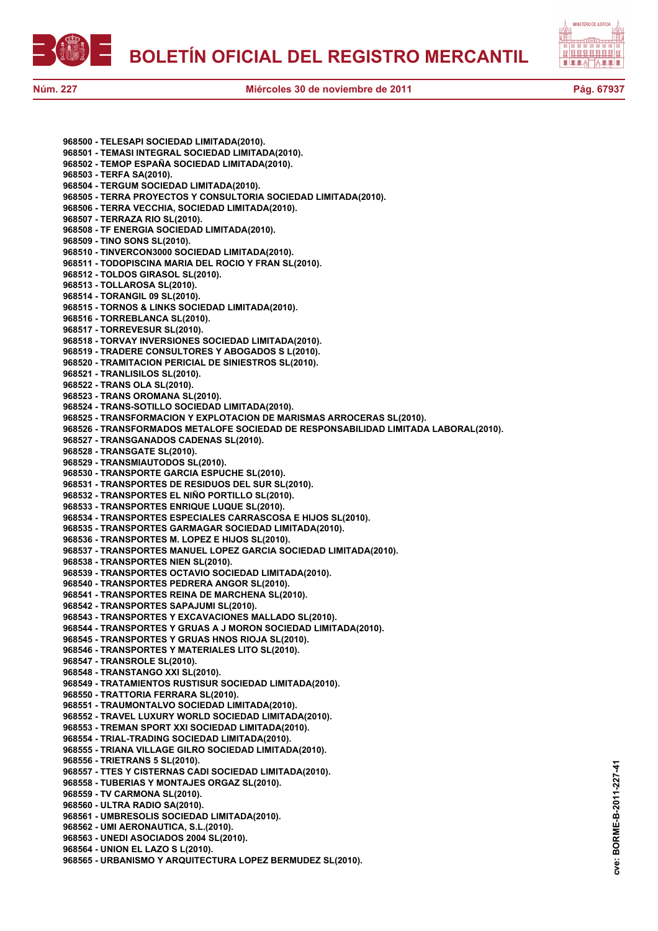





**cve: BORME-B-2011-227-41**

cve:

BORME-B-2011-227-41

**968500 - TELESAPI SOCIEDAD LIMITADA(2010). 968501 - TEMASI INTEGRAL SOCIEDAD LIMITADA(2010). 968502 - TEMOP ESPAÑA SOCIEDAD LIMITADA(2010). 968503 - TERFA SA(2010). 968504 - TERGUM SOCIEDAD LIMITADA(2010). 968505 - TERRA PROYECTOS Y CONSULTORIA SOCIEDAD LIMITADA(2010). 968506 - TERRA VECCHIA, SOCIEDAD LIMITADA(2010). 968507 - TERRAZA RIO SL(2010). 968508 - TF ENERGIA SOCIEDAD LIMITADA(2010). 968509 - TINO SONS SL(2010). 968510 - TINVERCON3000 SOCIEDAD LIMITADA(2010). 968511 - TODOPISCINA MARIA DEL ROCIO Y FRAN SL(2010). 968512 - TOLDOS GIRASOL SL(2010). 968513 - TOLLAROSA SL(2010). 968514 - TORANGIL 09 SL(2010). 968515 - TORNOS & LINKS SOCIEDAD LIMITADA(2010). 968516 - TORREBLANCA SL(2010). 968517 - TORREVESUR SL(2010). 968518 - TORVAY INVERSIONES SOCIEDAD LIMITADA(2010). 968519 - TRADERE CONSULTORES Y ABOGADOS S L(2010). 968520 - TRAMITACION PERICIAL DE SINIESTROS SL(2010). 968521 - TRANLISILOS SL(2010). 968522 - TRANS OLA SL(2010). 968523 - TRANS OROMANA SL(2010). 968524 - TRANS-SOTILLO SOCIEDAD LIMITADA(2010). 968525 - TRANSFORMACION Y EXPLOTACION DE MARISMAS ARROCERAS SL(2010). 968526 - TRANSFORMADOS METALOFE SOCIEDAD DE RESPONSABILIDAD LIMITADA LABORAL(2010). 968527 - TRANSGANADOS CADENAS SL(2010). 968528 - TRANSGATE SL(2010). 968529 - TRANSMIAUTODOS SL(2010). 968530 - TRANSPORTE GARCIA ESPUCHE SL(2010). 968531 - TRANSPORTES DE RESIDUOS DEL SUR SL(2010). 968532 - TRANSPORTES EL NIÑO PORTILLO SL(2010). 968533 - TRANSPORTES ENRIQUE LUQUE SL(2010). 968534 - TRANSPORTES ESPECIALES CARRASCOSA E HIJOS SL(2010). 968535 - TRANSPORTES GARMAGAR SOCIEDAD LIMITADA(2010). 968536 - TRANSPORTES M. LOPEZ E HIJOS SL(2010). 968537 - TRANSPORTES MANUEL LOPEZ GARCIA SOCIEDAD LIMITADA(2010). 968538 - TRANSPORTES NIEN SL(2010). 968539 - TRANSPORTES OCTAVIO SOCIEDAD LIMITADA(2010). 968540 - TRANSPORTES PEDRERA ANGOR SL(2010). 968541 - TRANSPORTES REINA DE MARCHENA SL(2010). 968542 - TRANSPORTES SAPAJUMI SL(2010). 968543 - TRANSPORTES Y EXCAVACIONES MALLADO SL(2010). 968544 - TRANSPORTES Y GRUAS A J MORON SOCIEDAD LIMITADA(2010). 968545 - TRANSPORTES Y GRUAS HNOS RIOJA SL(2010). 968546 - TRANSPORTES Y MATERIALES LITO SL(2010). 968547 - TRANSROLE SL(2010). 968548 - TRANSTANGO XXI SL(2010). 968549 - TRATAMIENTOS RUSTISUR SOCIEDAD LIMITADA(2010). 968550 - TRATTORIA FERRARA SL(2010). 968551 - TRAUMONTALVO SOCIEDAD LIMITADA(2010). 968552 - TRAVEL LUXURY WORLD SOCIEDAD LIMITADA(2010). 968553 - TREMAN SPORT XXI SOCIEDAD LIMITADA(2010). 968554 - TRIAL-TRADING SOCIEDAD LIMITADA(2010). 968555 - TRIANA VILLAGE GILRO SOCIEDAD LIMITADA(2010). 968556 - TRIETRANS 5 SL(2010). 968557 - TTES Y CISTERNAS CADI SOCIEDAD LIMITADA(2010). 968558 - TUBERIAS Y MONTAJES ORGAZ SL(2010). 968559 - TV CARMONA SL(2010). 968560 - ULTRA RADIO SA(2010). 968561 - UMBRESOLIS SOCIEDAD LIMITADA(2010). 968562 - UMI AERONAUTICA, S.L.(2010). 968563 - UNEDI ASOCIADOS 2004 SL(2010). 968564 - UNION EL LAZO S L(2010). 968565 - URBANISMO Y ARQUITECTURA LOPEZ BERMUDEZ SL(2010).**